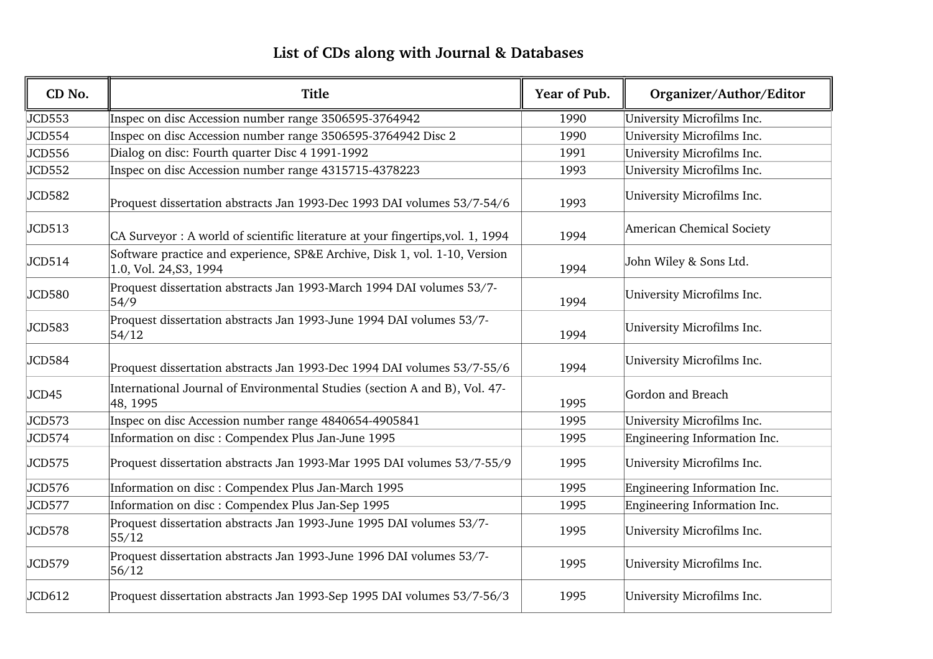## **List of CDs along with Journal & Databases**

| CD No.        | <b>Title</b>                                                                                         | Year of Pub. | Organizer/Author/Editor      |
|---------------|------------------------------------------------------------------------------------------------------|--------------|------------------------------|
| JCD553        | Inspec on disc Accession number range 3506595-3764942                                                | 1990         | University Microfilms Inc.   |
| <b>JCD554</b> | Inspec on disc Accession number range 3506595-3764942 Disc 2                                         | 1990         | University Microfilms Inc.   |
| JCD556        | Dialog on disc: Fourth quarter Disc 4 1991-1992                                                      | 1991         | University Microfilms Inc.   |
| JCD552        | Inspec on disc Accession number range 4315715-4378223                                                | 1993         | University Microfilms Inc.   |
| JCD582        | Proquest dissertation abstracts Jan 1993-Dec 1993 DAI volumes 53/7-54/6                              | 1993         | University Microfilms Inc.   |
| JCD513        | CA Surveyor : A world of scientific literature at your fingertips, vol. 1, 1994                      | 1994         | American Chemical Society    |
| <b>JCD514</b> | Software practice and experience, SP&E Archive, Disk 1, vol. 1-10, Version<br>1.0, Vol. 24, S3, 1994 | 1994         | John Wiley & Sons Ltd.       |
| JCD580        | Proquest dissertation abstracts Jan 1993-March 1994 DAI volumes 53/7-<br>54/9                        | 1994         | University Microfilms Inc.   |
| JCD583        | Proquest dissertation abstracts Jan 1993-June 1994 DAI volumes 53/7-<br>54/12                        | 1994         | University Microfilms Inc.   |
| <b>JCD584</b> | Proquest dissertation abstracts Jan 1993-Dec 1994 DAI volumes 53/7-55/6                              | 1994         | University Microfilms Inc.   |
| JCD45         | International Journal of Environmental Studies (section A and B), Vol. 47-<br>48, 1995               | 1995         | Gordon and Breach            |
| JCD573        | Inspec on disc Accession number range 4840654-4905841                                                | 1995         | University Microfilms Inc.   |
| <b>JCD574</b> | Information on disc : Compendex Plus Jan-June 1995                                                   | 1995         | Engineering Information Inc. |
| JCD575        | Proquest dissertation abstracts Jan 1993-Mar 1995 DAI volumes 53/7-55/9                              | 1995         | University Microfilms Inc.   |
| JCD576        | Information on disc : Compendex Plus Jan-March 1995                                                  | 1995         | Engineering Information Inc. |
| <b>JCD577</b> | Information on disc : Compendex Plus Jan-Sep 1995                                                    | 1995         | Engineering Information Inc. |
| <b>JCD578</b> | Proquest dissertation abstracts Jan 1993-June 1995 DAI volumes 53/7-<br>55/12                        | 1995         | University Microfilms Inc.   |
| JCD579        | Proquest dissertation abstracts Jan 1993-June 1996 DAI volumes 53/7-<br>56/12                        | 1995         | University Microfilms Inc.   |
| JCD612        | Proquest dissertation abstracts Jan 1993-Sep 1995 DAI volumes 53/7-56/3                              | 1995         | University Microfilms Inc.   |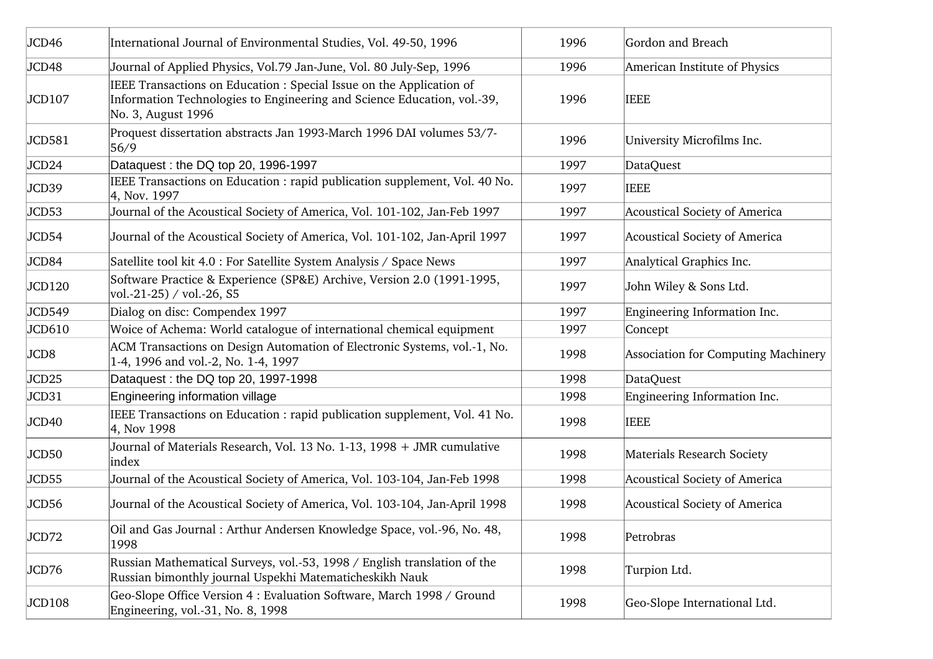| JCD46             | International Journal of Environmental Studies, Vol. 49-50, 1996                                                                                                      | 1996 | Gordon and Breach                   |
|-------------------|-----------------------------------------------------------------------------------------------------------------------------------------------------------------------|------|-------------------------------------|
| JCD48             | Journal of Applied Physics, Vol.79 Jan-June, Vol. 80 July-Sep, 1996                                                                                                   | 1996 | American Institute of Physics       |
| JCD107            | IEEE Transactions on Education : Special Issue on the Application of<br>Information Technologies to Engineering and Science Education, vol.-39,<br>No. 3, August 1996 | 1996 | <b>IEEE</b>                         |
| JCD581            | Proquest dissertation abstracts Jan 1993-March 1996 DAI volumes 53/7-<br>56/9                                                                                         | 1996 | University Microfilms Inc.          |
| JCD24             | Dataquest: the DQ top 20, 1996-1997                                                                                                                                   | 1997 | <b>DataQuest</b>                    |
| JCD39             | IEEE Transactions on Education : rapid publication supplement, Vol. 40 No.<br>4, Nov. 1997                                                                            | 1997 | <b>IEEE</b>                         |
| JCD53             | Journal of the Acoustical Society of America, Vol. 101-102, Jan-Feb 1997                                                                                              | 1997 | Acoustical Society of America       |
| JCD54             | Journal of the Acoustical Society of America, Vol. 101-102, Jan-April 1997                                                                                            | 1997 | Acoustical Society of America       |
| JCD84             | Satellite tool kit 4.0 : For Satellite System Analysis / Space News                                                                                                   | 1997 | Analytical Graphics Inc.            |
| JCD120            | Software Practice & Experience (SP&E) Archive, Version 2.0 (1991-1995,<br>vol.-21-25) / vol.-26, S5                                                                   | 1997 | John Wiley & Sons Ltd.              |
| JCD549            | Dialog on disc: Compendex 1997                                                                                                                                        | 1997 | Engineering Information Inc.        |
| JCD610            | Woice of Achema: World catalogue of international chemical equipment                                                                                                  | 1997 | Concept                             |
| JCD8              | ACM Transactions on Design Automation of Electronic Systems, vol.-1, No.<br>1-4, 1996 and vol.-2, No. 1-4, 1997                                                       | 1998 | Association for Computing Machinery |
| JCD <sub>25</sub> | Dataquest: the DQ top 20, 1997-1998                                                                                                                                   | 1998 | <b>DataQuest</b>                    |
| JCD31             | Engineering information village                                                                                                                                       | 1998 | Engineering Information Inc.        |
| JCD40             | IEEE Transactions on Education : rapid publication supplement, Vol. 41 No.<br>4, Nov 1998                                                                             | 1998 | <b>IEEE</b>                         |
| JCD50             | Journal of Materials Research, Vol. 13 No. 1-13, 1998 + JMR cumulative<br>index                                                                                       | 1998 | Materials Research Society          |
| JCD55             | Journal of the Acoustical Society of America, Vol. 103-104, Jan-Feb 1998                                                                                              | 1998 | Acoustical Society of America       |
| JCD56             | Journal of the Acoustical Society of America, Vol. 103-104, Jan-April 1998                                                                                            | 1998 | Acoustical Society of America       |
| JCD72             | Oil and Gas Journal: Arthur Andersen Knowledge Space, vol.-96, No. 48,<br>1998                                                                                        | 1998 | Petrobras                           |
| JCD76             | Russian Mathematical Surveys, vol.-53, 1998 / English translation of the<br>Russian bimonthly journal Uspekhi Matematicheskikh Nauk                                   | 1998 | Turpion Ltd.                        |
| JCD108            | Geo-Slope Office Version 4 : Evaluation Software, March 1998 / Ground<br>Engineering, vol.-31, No. 8, 1998                                                            | 1998 | Geo-Slope International Ltd.        |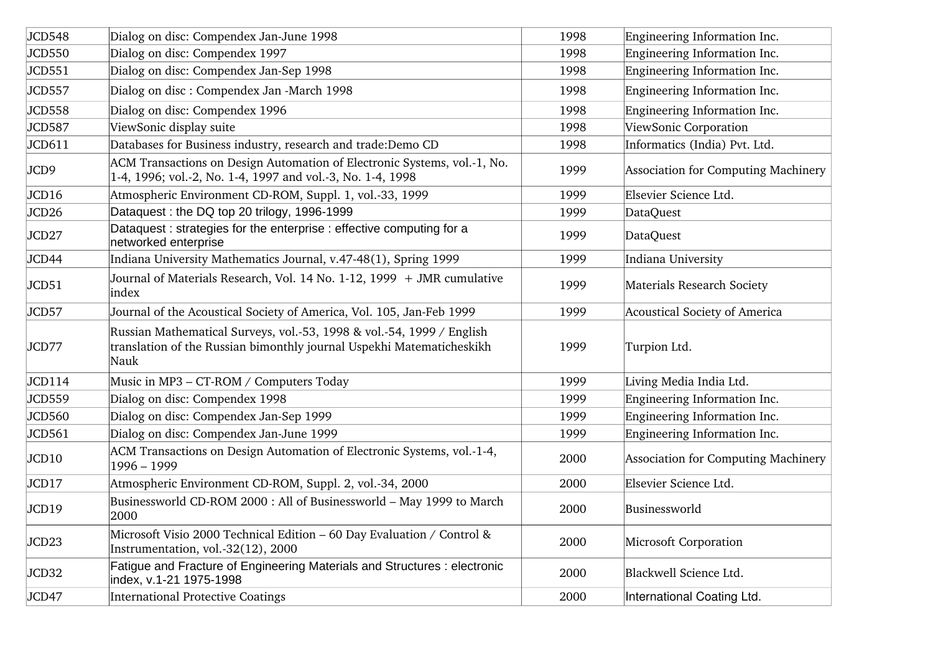| JCD548            | Dialog on disc: Compendex Jan-June 1998                                                                                                                | 1998 | Engineering Information Inc.        |
|-------------------|--------------------------------------------------------------------------------------------------------------------------------------------------------|------|-------------------------------------|
| JCD550            | Dialog on disc: Compendex 1997                                                                                                                         | 1998 | Engineering Information Inc.        |
| JCD551            | Dialog on disc: Compendex Jan-Sep 1998                                                                                                                 | 1998 | Engineering Information Inc.        |
| JCD557            | Dialog on disc : Compendex Jan -March 1998                                                                                                             | 1998 | Engineering Information Inc.        |
| JCD558            | Dialog on disc: Compendex 1996                                                                                                                         | 1998 | Engineering Information Inc.        |
| JCD587            | ViewSonic display suite                                                                                                                                | 1998 | ViewSonic Corporation               |
| JCD611            | Databases for Business industry, research and trade:Demo CD                                                                                            | 1998 | Informatics (India) Pvt. Ltd.       |
| JCD9              | ACM Transactions on Design Automation of Electronic Systems, vol.-1, No.<br>1-4, 1996; vol.-2, No. 1-4, 1997 and vol.-3, No. 1-4, 1998                 | 1999 | Association for Computing Machinery |
| JCD16             | Atmospheric Environment CD-ROM, Suppl. 1, vol.-33, 1999                                                                                                | 1999 | Elsevier Science Ltd.               |
| JCD <sub>26</sub> | Dataquest: the DQ top 20 trilogy, 1996-1999                                                                                                            | 1999 | <b>DataQuest</b>                    |
| JCD27             | Dataquest: strategies for the enterprise: effective computing for a<br>networked enterprise                                                            | 1999 | DataQuest                           |
| JCD44             | Indiana University Mathematics Journal, v.47-48(1), Spring 1999                                                                                        | 1999 | Indiana University                  |
| JCD51             | Journal of Materials Research, Vol. 14 No. 1-12, 1999 + JMR cumulative<br>index                                                                        | 1999 | Materials Research Society          |
| JCD57             | Journal of the Acoustical Society of America, Vol. 105, Jan-Feb 1999                                                                                   | 1999 | Acoustical Society of America       |
| JCD77             | Russian Mathematical Surveys, vol.-53, 1998 & vol.-54, 1999 / English<br>translation of the Russian bimonthly journal Uspekhi Matematicheskikh<br>Nauk | 1999 | Turpion Ltd.                        |
| JCD114            | Music in MP3 - CT-ROM / Computers Today                                                                                                                | 1999 | Living Media India Ltd.             |
| JCD559            | Dialog on disc: Compendex 1998                                                                                                                         | 1999 | Engineering Information Inc.        |
| JCD560            | Dialog on disc: Compendex Jan-Sep 1999                                                                                                                 | 1999 | Engineering Information Inc.        |
| JCD561            | Dialog on disc: Compendex Jan-June 1999                                                                                                                | 1999 | Engineering Information Inc.        |
| JCD10             | ACM Transactions on Design Automation of Electronic Systems, vol.-1-4,<br>1996 - 1999                                                                  | 2000 | Association for Computing Machinery |
| JCD17             | Atmospheric Environment CD-ROM, Suppl. 2, vol.-34, 2000                                                                                                | 2000 | Elsevier Science Ltd.               |
| JCD19             | Businessworld CD-ROM 2000 : All of Businessworld - May 1999 to March<br>2000                                                                           | 2000 | Businessworld                       |
| JCD23             | Microsoft Visio 2000 Technical Edition - 60 Day Evaluation / Control &<br>Instrumentation, vol.-32(12), 2000                                           | 2000 | Microsoft Corporation               |
| JCD32             | Fatigue and Fracture of Engineering Materials and Structures : electronic<br>index, v.1-21 1975-1998                                                   | 2000 | Blackwell Science Ltd.              |
| JCD47             | <b>International Protective Coatings</b>                                                                                                               | 2000 | International Coating Ltd.          |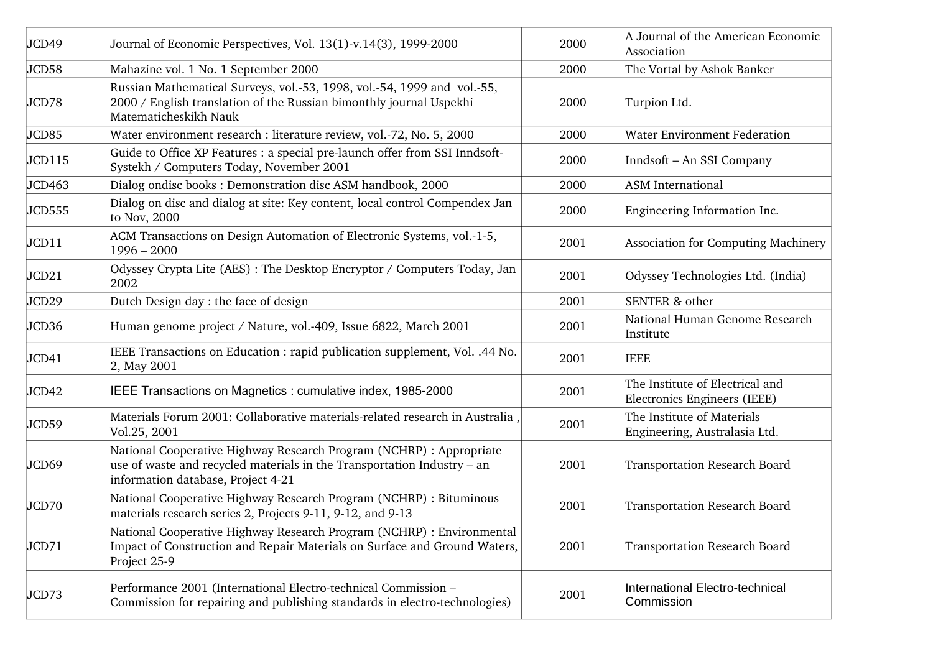| JCD49  | Journal of Economic Perspectives, Vol. 13(1)-v.14(3), 1999-2000                                                                                                                      | 2000 | A Journal of the American Economic<br>Association               |
|--------|--------------------------------------------------------------------------------------------------------------------------------------------------------------------------------------|------|-----------------------------------------------------------------|
| JCD58  | Mahazine vol. 1 No. 1 September 2000                                                                                                                                                 | 2000 | The Vortal by Ashok Banker                                      |
| JCD78  | Russian Mathematical Surveys, vol.-53, 1998, vol.-54, 1999 and vol.-55,<br>2000 / English translation of the Russian bimonthly journal Uspekhi<br>Matematicheskikh Nauk              | 2000 | Turpion Ltd.                                                    |
| JCD85  | Water environment research : literature review, vol.-72, No. 5, 2000                                                                                                                 | 2000 | <b>Water Environment Federation</b>                             |
| JCD115 | Guide to Office XP Features : a special pre-launch offer from SSI Inndsoft-<br>Systekh / Computers Today, November 2001                                                              | 2000 | Inndsoft - An SSI Company                                       |
| JCD463 | Dialog ondisc books: Demonstration disc ASM handbook, 2000                                                                                                                           | 2000 | <b>ASM</b> International                                        |
| JCD555 | Dialog on disc and dialog at site: Key content, local control Compendex Jan<br>to Nov, 2000                                                                                          | 2000 | Engineering Information Inc.                                    |
| JCD11  | ACM Transactions on Design Automation of Electronic Systems, vol.-1-5,<br>$1996 - 2000$                                                                                              | 2001 | Association for Computing Machinery                             |
| JCD21  | Odyssey Crypta Lite (AES): The Desktop Encryptor / Computers Today, Jan<br>2002                                                                                                      | 2001 | Odyssey Technologies Ltd. (India)                               |
| JCD29  | Dutch Design day : the face of design                                                                                                                                                | 2001 | SENTER & other                                                  |
| JCD36  | Human genome project / Nature, vol.-409, Issue 6822, March 2001                                                                                                                      | 2001 | National Human Genome Research<br>Institute                     |
| JCD41  | IEEE Transactions on Education : rapid publication supplement, Vol. .44 No.<br>2, May 2001                                                                                           | 2001 | <b>IEEE</b>                                                     |
| JCD42  | IEEE Transactions on Magnetics: cumulative index, 1985-2000                                                                                                                          | 2001 | The Institute of Electrical and<br>Electronics Engineers (IEEE) |
| JCD59  | Materials Forum 2001: Collaborative materials-related research in Australia,<br>Vol.25, 2001                                                                                         | 2001 | The Institute of Materials<br>Engineering, Australasia Ltd.     |
| JCD69  | National Cooperative Highway Research Program (NCHRP) : Appropriate<br>use of waste and recycled materials in the Transportation Industry - an<br>information database, Project 4-21 | 2001 | <b>Transportation Research Board</b>                            |
| JCD70  | National Cooperative Highway Research Program (NCHRP) : Bituminous<br>materials research series 2, Projects 9-11, 9-12, and 9-13                                                     | 2001 | <b>Transportation Research Board</b>                            |
| JCD71  | National Cooperative Highway Research Program (NCHRP) : Environmental<br>Impact of Construction and Repair Materials on Surface and Ground Waters,<br>Project 25-9                   | 2001 | Transportation Research Board                                   |
| JCD73  | Performance 2001 (International Electro-technical Commission -<br>Commission for repairing and publishing standards in electro-technologies)                                         | 2001 | International Electro-technical<br>Commission                   |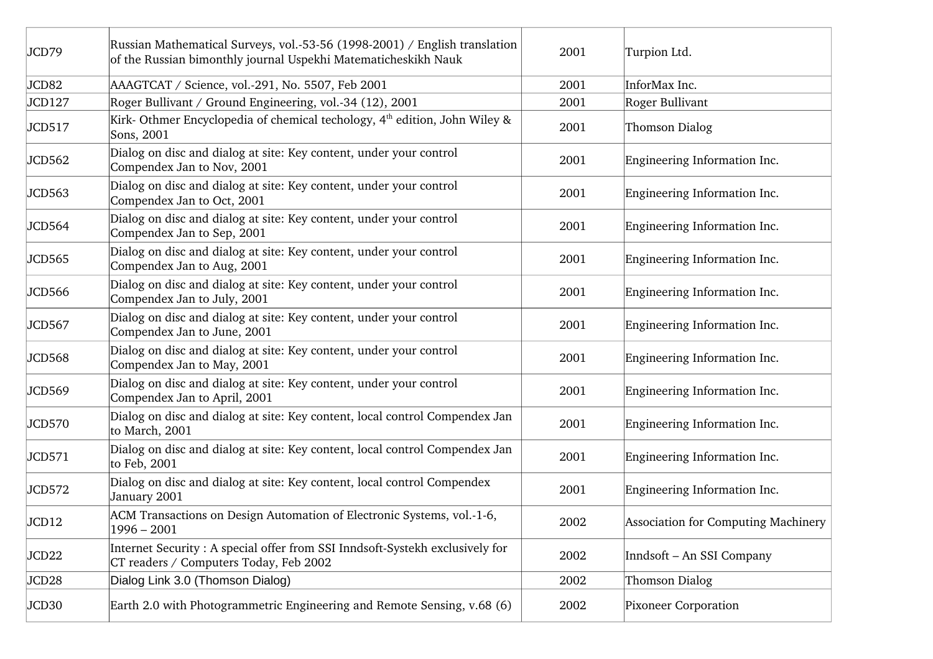| JCD79         | Russian Mathematical Surveys, vol.-53-56 (1998-2001) / English translation<br>of the Russian bimonthly journal Uspekhi Matematicheskikh Nauk | 2001 | Turpion Ltd.                        |
|---------------|----------------------------------------------------------------------------------------------------------------------------------------------|------|-------------------------------------|
| JCD82         | AAAGTCAT / Science, vol.-291, No. 5507, Feb 2001                                                                                             | 2001 | InforMax Inc.                       |
| <b>JCD127</b> | Roger Bullivant / Ground Engineering, vol.-34 (12), 2001                                                                                     | 2001 | Roger Bullivant                     |
| JCD517        | Kirk- Othmer Encyclopedia of chemical techology, 4 <sup>th</sup> edition, John Wiley &<br>Sons, 2001                                         | 2001 | Thomson Dialog                      |
| JCD562        | Dialog on disc and dialog at site: Key content, under your control<br>Compendex Jan to Nov, 2001                                             | 2001 | Engineering Information Inc.        |
| JCD563        | Dialog on disc and dialog at site: Key content, under your control<br>Compendex Jan to Oct, 2001                                             | 2001 | Engineering Information Inc.        |
| JCD564        | Dialog on disc and dialog at site: Key content, under your control<br>Compendex Jan to Sep, 2001                                             | 2001 | Engineering Information Inc.        |
| JCD565        | Dialog on disc and dialog at site: Key content, under your control<br>Compendex Jan to Aug, 2001                                             | 2001 | Engineering Information Inc.        |
| JCD566        | Dialog on disc and dialog at site: Key content, under your control<br>Compendex Jan to July, 2001                                            | 2001 | Engineering Information Inc.        |
| JCD567        | Dialog on disc and dialog at site: Key content, under your control<br>Compendex Jan to June, 2001                                            | 2001 | Engineering Information Inc.        |
| JCD568        | Dialog on disc and dialog at site: Key content, under your control<br>Compendex Jan to May, 2001                                             | 2001 | Engineering Information Inc.        |
| JCD569        | Dialog on disc and dialog at site: Key content, under your control<br>Compendex Jan to April, 2001                                           | 2001 | Engineering Information Inc.        |
| JCD570        | Dialog on disc and dialog at site: Key content, local control Compendex Jan<br>to March, 2001                                                | 2001 | Engineering Information Inc.        |
| JCD571        | Dialog on disc and dialog at site: Key content, local control Compendex Jan<br>to Feb, 2001                                                  | 2001 | Engineering Information Inc.        |
| JCD572        | Dialog on disc and dialog at site: Key content, local control Compendex<br>January 2001                                                      | 2001 | Engineering Information Inc.        |
| JCD12         | ACM Transactions on Design Automation of Electronic Systems, vol.-1-6,<br>$1996 - 2001$                                                      | 2002 | Association for Computing Machinery |
| JCD22         | Internet Security: A special offer from SSI Inndsoft-Systekh exclusively for<br>CT readers / Computers Today, Feb 2002                       | 2002 | Inndsoft - An SSI Company           |
| JCD28         | Dialog Link 3.0 (Thomson Dialog)                                                                                                             | 2002 | Thomson Dialog                      |
| JCD30         | Earth 2.0 with Photogrammetric Engineering and Remote Sensing, v.68 (6)                                                                      | 2002 | <b>Pixoneer Corporation</b>         |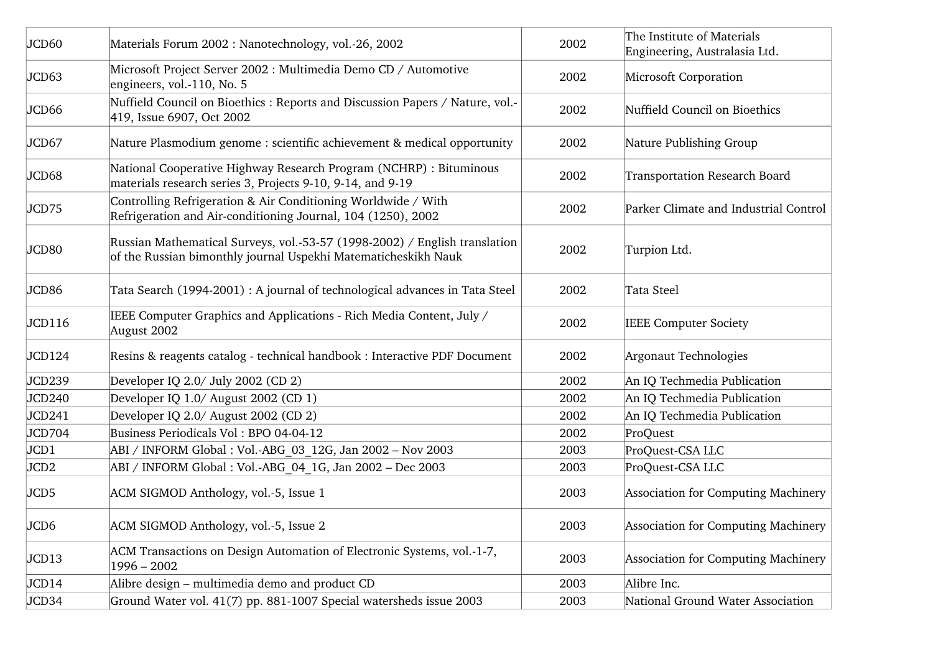| JCD60            | Materials Forum 2002 : Nanotechnology, vol.-26, 2002                                                                                         | 2002 | The Institute of Materials<br>Engineering, Australasia Ltd. |
|------------------|----------------------------------------------------------------------------------------------------------------------------------------------|------|-------------------------------------------------------------|
| JCD63            | Microsoft Project Server 2002 : Multimedia Demo CD / Automotive<br>engineers, vol.-110, No. 5                                                | 2002 | Microsoft Corporation                                       |
| JCD66            | Nuffield Council on Bioethics: Reports and Discussion Papers / Nature, vol.-<br>419, Issue 6907, Oct 2002                                    | 2002 | Nuffield Council on Bioethics                               |
| JCD67            | Nature Plasmodium genome : scientific achievement & medical opportunity                                                                      | 2002 | Nature Publishing Group                                     |
| JCD68            | National Cooperative Highway Research Program (NCHRP) : Bituminous<br>materials research series 3, Projects 9-10, 9-14, and 9-19             | 2002 | <b>Transportation Research Board</b>                        |
| JCD75            | Controlling Refrigeration & Air Conditioning Worldwide / With<br>Refrigeration and Air-conditioning Journal, 104 (1250), 2002                | 2002 | Parker Climate and Industrial Control                       |
| JCD80            | Russian Mathematical Surveys, vol.-53-57 (1998-2002) / English translation<br>of the Russian bimonthly journal Uspekhi Matematicheskikh Nauk | 2002 | Turpion Ltd.                                                |
| JCD86            | Tata Search (1994-2001) : A journal of technological advances in Tata Steel                                                                  | 2002 | Tata Steel                                                  |
| JCD116           | IEEE Computer Graphics and Applications - Rich Media Content, July /<br>August 2002                                                          | 2002 | <b>IEEE Computer Society</b>                                |
| JCD124           | Resins & reagents catalog - technical handbook : Interactive PDF Document                                                                    | 2002 | Argonaut Technologies                                       |
| JCD239           | Developer IQ 2.0/ July 2002 (CD 2)                                                                                                           | 2002 | An IQ Techmedia Publication                                 |
| JCD240           | Developer IQ 1.0/ August 2002 (CD 1)                                                                                                         | 2002 | An IQ Techmedia Publication                                 |
| JCD241           | Developer IQ 2.0/ August 2002 (CD 2)                                                                                                         | 2002 | An IQ Techmedia Publication                                 |
| JCD704           | Business Periodicals Vol: BPO 04-04-12                                                                                                       | 2002 | ProQuest                                                    |
| JCD1             | ABI / INFORM Global : Vol.-ABG 03 12G, Jan 2002 - Nov 2003                                                                                   | 2003 | ProQuest-CSA LLC                                            |
| JCD <sub>2</sub> | ABI / INFORM Global : Vol.-ABG 04 1G, Jan 2002 - Dec 2003                                                                                    | 2003 | ProQuest-CSA LLC                                            |
| JCD5             | ACM SIGMOD Anthology, vol.-5, Issue 1                                                                                                        | 2003 | Association for Computing Machinery                         |
| JCD6             | ACM SIGMOD Anthology, vol.-5, Issue 2                                                                                                        | 2003 | Association for Computing Machinery                         |
| JCD13            | ACM Transactions on Design Automation of Electronic Systems, vol.-1-7,<br>$1996 - 2002$                                                      | 2003 | Association for Computing Machinery                         |
| JCD14            | Alibre design – multimedia demo and product CD                                                                                               | 2003 | Alibre Inc.                                                 |
| JCD34            | Ground Water vol. 41(7) pp. 881-1007 Special watersheds issue 2003                                                                           | 2003 | National Ground Water Association                           |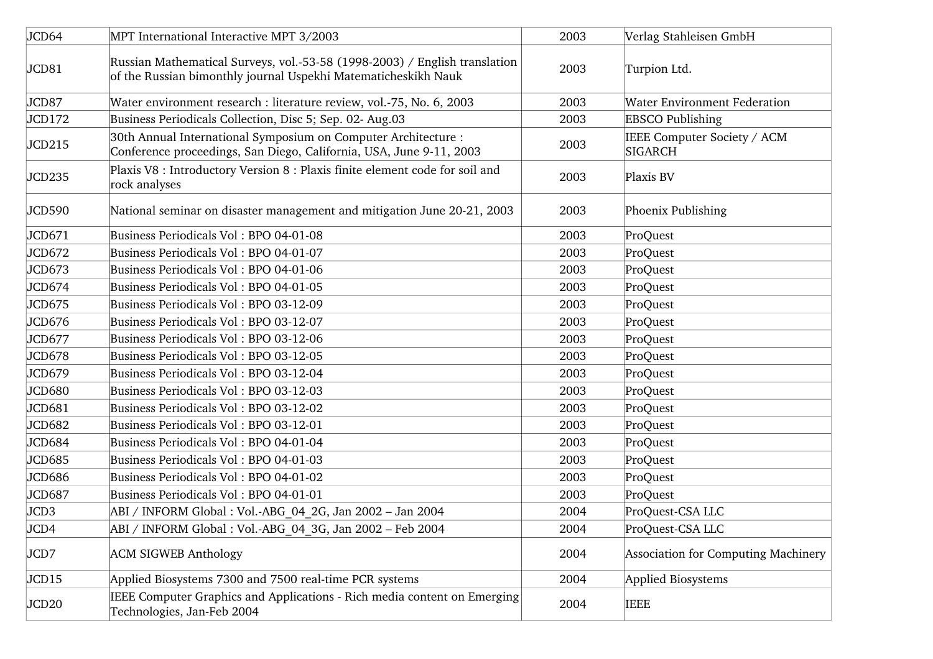| JCD64             | MPT International Interactive MPT 3/2003                                                                                                     | 2003 | Verlag Stahleisen GmbH                        |
|-------------------|----------------------------------------------------------------------------------------------------------------------------------------------|------|-----------------------------------------------|
| JCD81             | Russian Mathematical Surveys, vol.-53-58 (1998-2003) / English translation<br>of the Russian bimonthly journal Uspekhi Matematicheskikh Nauk | 2003 | Turpion Ltd.                                  |
| JCD87             | Water environment research : literature review, vol.-75, No. 6, 2003                                                                         | 2003 | <b>Water Environment Federation</b>           |
| JCD172            | Business Periodicals Collection, Disc 5; Sep. 02- Aug.03                                                                                     | 2003 | <b>EBSCO Publishing</b>                       |
| JCD215            | 30th Annual International Symposium on Computer Architecture :<br>Conference proceedings, San Diego, California, USA, June 9-11, 2003        | 2003 | IEEE Computer Society / ACM<br><b>SIGARCH</b> |
| JCD235            | Plaxis V8 : Introductory Version 8 : Plaxis finite element code for soil and<br>rock analyses                                                | 2003 | Plaxis BV                                     |
| JCD590            | National seminar on disaster management and mitigation June 20-21, 2003                                                                      | 2003 | Phoenix Publishing                            |
| JCD671            | Business Periodicals Vol: BPO 04-01-08                                                                                                       | 2003 | ProQuest                                      |
| JCD672            | Business Periodicals Vol: BPO 04-01-07                                                                                                       | 2003 | ProQuest                                      |
| JCD673            | Business Periodicals Vol: BPO 04-01-06                                                                                                       | 2003 | ProQuest                                      |
| JCD674            | Business Periodicals Vol: BPO 04-01-05                                                                                                       | 2003 | ProQuest                                      |
| JCD675            | Business Periodicals Vol: BPO 03-12-09                                                                                                       | 2003 | ProQuest                                      |
| JCD676            | Business Periodicals Vol: BPO 03-12-07                                                                                                       | 2003 | ProQuest                                      |
| JCD677            | Business Periodicals Vol: BPO 03-12-06                                                                                                       | 2003 | ProQuest                                      |
| JCD678            | Business Periodicals Vol: BPO 03-12-05                                                                                                       | 2003 | ProQuest                                      |
| JCD679            | Business Periodicals Vol: BPO 03-12-04                                                                                                       | 2003 | ProQuest                                      |
| JCD680            | Business Periodicals Vol: BPO 03-12-03                                                                                                       | 2003 | ProQuest                                      |
| JCD681            | Business Periodicals Vol: BPO 03-12-02                                                                                                       | 2003 | ProQuest                                      |
| JCD682            | Business Periodicals Vol: BPO 03-12-01                                                                                                       | 2003 | ProQuest                                      |
| JCD684            | Business Periodicals Vol: BPO 04-01-04                                                                                                       | 2003 | ProQuest                                      |
| JCD685            | Business Periodicals Vol: BPO 04-01-03                                                                                                       | 2003 | ProQuest                                      |
| JCD686            | Business Periodicals Vol: BPO 04-01-02                                                                                                       | 2003 | ProQuest                                      |
| JCD687            | Business Periodicals Vol: BPO 04-01-01                                                                                                       | 2003 | ProQuest                                      |
| JCD <sub>3</sub>  | ABI / INFORM Global : Vol.-ABG 04 2G, Jan 2002 - Jan 2004                                                                                    | 2004 | ProQuest-CSA LLC                              |
| JCD4              | ABI / INFORM Global : Vol.-ABG 04 3G, Jan 2002 - Feb 2004                                                                                    | 2004 | ProQuest-CSA LLC                              |
| JCD7              | <b>ACM SIGWEB Anthology</b>                                                                                                                  | 2004 | Association for Computing Machinery           |
| JCD15             | Applied Biosystems 7300 and 7500 real-time PCR systems                                                                                       | 2004 | Applied Biosystems                            |
| JCD <sub>20</sub> | IEEE Computer Graphics and Applications - Rich media content on Emerging<br>Technologies, Jan-Feb 2004                                       | 2004 | <b>IEEE</b>                                   |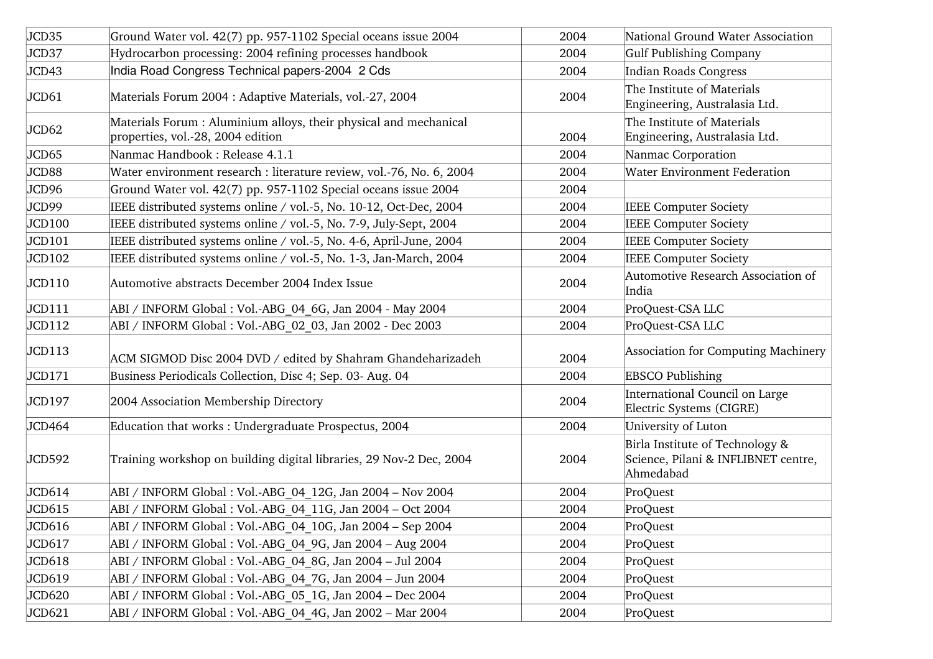| JCD35  | Ground Water vol. 42(7) pp. 957-1102 Special oceans issue 2004                                         | 2004 | National Ground Water Association                                                   |
|--------|--------------------------------------------------------------------------------------------------------|------|-------------------------------------------------------------------------------------|
| JCD37  | Hydrocarbon processing: 2004 refining processes handbook                                               | 2004 | <b>Gulf Publishing Company</b>                                                      |
| JCD43  | India Road Congress Technical papers-2004 2 Cds                                                        | 2004 | <b>Indian Roads Congress</b>                                                        |
| JCD61  | Materials Forum 2004 : Adaptive Materials, vol.-27, 2004                                               | 2004 | The Institute of Materials<br>Engineering, Australasia Ltd.                         |
| JCD62  | Materials Forum : Aluminium alloys, their physical and mechanical<br>properties, vol.-28, 2004 edition | 2004 | The Institute of Materials<br>Engineering, Australasia Ltd.                         |
| JCD65  | Nanmac Handbook: Release 4.1.1                                                                         | 2004 | Nanmac Corporation                                                                  |
| JCD88  | Water environment research : literature review, vol.-76, No. 6, 2004                                   | 2004 | <b>Water Environment Federation</b>                                                 |
| JCD96  | Ground Water vol. 42(7) pp. 957-1102 Special oceans issue 2004                                         | 2004 |                                                                                     |
| JCD99  | IEEE distributed systems online / vol.-5, No. 10-12, Oct-Dec, 2004                                     | 2004 | <b>IEEE Computer Society</b>                                                        |
| JCD100 | IEEE distributed systems online / vol.-5, No. 7-9, July-Sept, 2004                                     | 2004 | <b>IEEE Computer Society</b>                                                        |
| JCD101 | IEEE distributed systems online / vol.-5, No. 4-6, April-June, 2004                                    | 2004 | <b>IEEE Computer Society</b>                                                        |
| JCD102 | IEEE distributed systems online / vol.-5, No. 1-3, Jan-March, 2004                                     | 2004 | <b>IEEE Computer Society</b>                                                        |
| JCD110 | Automotive abstracts December 2004 Index Issue                                                         | 2004 | Automotive Research Association of<br>India                                         |
| JCD111 | ABI / INFORM Global : Vol.-ABG 04 6G, Jan 2004 - May 2004                                              | 2004 | ProQuest-CSA LLC                                                                    |
| JCD112 | ABI / INFORM Global : Vol.-ABG 02 03, Jan 2002 - Dec 2003                                              | 2004 | ProQuest-CSA LLC                                                                    |
| JCD113 | ACM SIGMOD Disc 2004 DVD / edited by Shahram Ghandeharizadeh                                           | 2004 | Association for Computing Machinery                                                 |
| JCD171 | Business Periodicals Collection, Disc 4; Sep. 03- Aug. 04                                              | 2004 | <b>EBSCO Publishing</b>                                                             |
| JCD197 | 2004 Association Membership Directory                                                                  | 2004 | International Council on Large<br>Electric Systems (CIGRE)                          |
| JCD464 | Education that works: Undergraduate Prospectus, 2004                                                   | 2004 | University of Luton                                                                 |
| JCD592 | Training workshop on building digital libraries, 29 Nov-2 Dec, 2004                                    | 2004 | Birla Institute of Technology &<br>Science, Pilani & INFLIBNET centre,<br>Ahmedabad |
| JCD614 | ABI / INFORM Global : Vol.-ABG 04 12G, Jan 2004 - Nov 2004                                             | 2004 | ProQuest                                                                            |
| JCD615 | ABI / INFORM Global : Vol.-ABG 04 11G, Jan 2004 - Oct 2004                                             | 2004 | ProQuest                                                                            |
| JCD616 | ABI / INFORM Global : Vol.-ABG 04 10G, Jan 2004 - Sep 2004                                             | 2004 | ProQuest                                                                            |
| JCD617 | ABI / INFORM Global : Vol.-ABG 04 9G, Jan 2004 - Aug 2004                                              | 2004 | ProQuest                                                                            |
| JCD618 | ABI / INFORM Global : Vol.-ABG 04 8G, Jan 2004 - Jul 2004                                              | 2004 | ProQuest                                                                            |
| JCD619 | ABI / INFORM Global : Vol.-ABG 04 7G, Jan 2004 - Jun 2004                                              | 2004 | ProQuest                                                                            |
| JCD620 | ABI / INFORM Global : Vol.-ABG 05 1G, Jan 2004 - Dec 2004                                              | 2004 | ProQuest                                                                            |
| JCD621 | ABI / INFORM Global : Vol.-ABG 04 4G, Jan 2002 - Mar 2004                                              | 2004 | ProQuest                                                                            |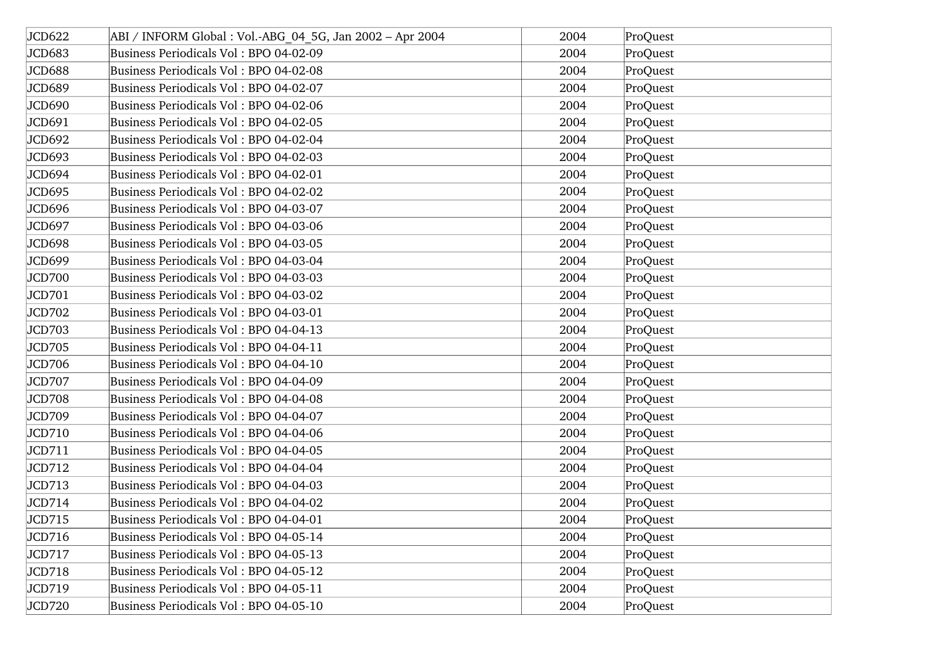| JCD622 | ABI / INFORM Global : Vol.-ABG 04 5G, Jan 2002 - Apr 2004 | 2004 | ProQuest |
|--------|-----------------------------------------------------------|------|----------|
| JCD683 | Business Periodicals Vol: BPO 04-02-09                    | 2004 | ProQuest |
| JCD688 | Business Periodicals Vol: BPO 04-02-08                    | 2004 | ProQuest |
| JCD689 | Business Periodicals Vol: BPO 04-02-07                    | 2004 | ProQuest |
| JCD690 | Business Periodicals Vol: BPO 04-02-06                    | 2004 | ProQuest |
| JCD691 | Business Periodicals Vol: BPO 04-02-05                    | 2004 | ProQuest |
| JCD692 | Business Periodicals Vol: BPO 04-02-04                    | 2004 | ProQuest |
| JCD693 | Business Periodicals Vol: BPO 04-02-03                    | 2004 | ProQuest |
| JCD694 | Business Periodicals Vol: BPO 04-02-01                    | 2004 | ProQuest |
| JCD695 | Business Periodicals Vol: BPO 04-02-02                    | 2004 | ProQuest |
| JCD696 | Business Periodicals Vol: BPO 04-03-07                    | 2004 | ProQuest |
| JCD697 | Business Periodicals Vol: BPO 04-03-06                    | 2004 | ProQuest |
| JCD698 | Business Periodicals Vol: BPO 04-03-05                    | 2004 | ProQuest |
| JCD699 | Business Periodicals Vol: BPO 04-03-04                    | 2004 | ProQuest |
| JCD700 | Business Periodicals Vol: BPO 04-03-03                    | 2004 | ProQuest |
| JCD701 | Business Periodicals Vol: BPO 04-03-02                    | 2004 | ProQuest |
| JCD702 | Business Periodicals Vol: BPO 04-03-01                    | 2004 | ProQuest |
| JCD703 | Business Periodicals Vol: BPO 04-04-13                    | 2004 | ProQuest |
| JCD705 | Business Periodicals Vol: BPO 04-04-11                    | 2004 | ProQuest |
| JCD706 | Business Periodicals Vol: BPO 04-04-10                    | 2004 | ProQuest |
| JCD707 | Business Periodicals Vol: BPO 04-04-09                    | 2004 | ProQuest |
| JCD708 | Business Periodicals Vol: BPO 04-04-08                    | 2004 | ProQuest |
| JCD709 | Business Periodicals Vol: BPO 04-04-07                    | 2004 | ProQuest |
| JCD710 | Business Periodicals Vol: BPO 04-04-06                    | 2004 | ProQuest |
| JCD711 | Business Periodicals Vol: BPO 04-04-05                    | 2004 | ProQuest |
| JCD712 | Business Periodicals Vol: BPO 04-04-04                    | 2004 | ProQuest |
| JCD713 | Business Periodicals Vol: BPO 04-04-03                    | 2004 | ProQuest |
| JCD714 | Business Periodicals Vol: BPO 04-04-02                    | 2004 | ProQuest |
| JCD715 | Business Periodicals Vol: BPO 04-04-01                    | 2004 | ProQuest |
| JCD716 | Business Periodicals Vol: BPO 04-05-14                    | 2004 | ProQuest |
| JCD717 | Business Periodicals Vol: BPO 04-05-13                    | 2004 | ProQuest |
| JCD718 | Business Periodicals Vol: BPO 04-05-12                    | 2004 | ProQuest |
| JCD719 | Business Periodicals Vol: BPO 04-05-11                    | 2004 | ProQuest |
| JCD720 | Business Periodicals Vol: BPO 04-05-10                    | 2004 | ProQuest |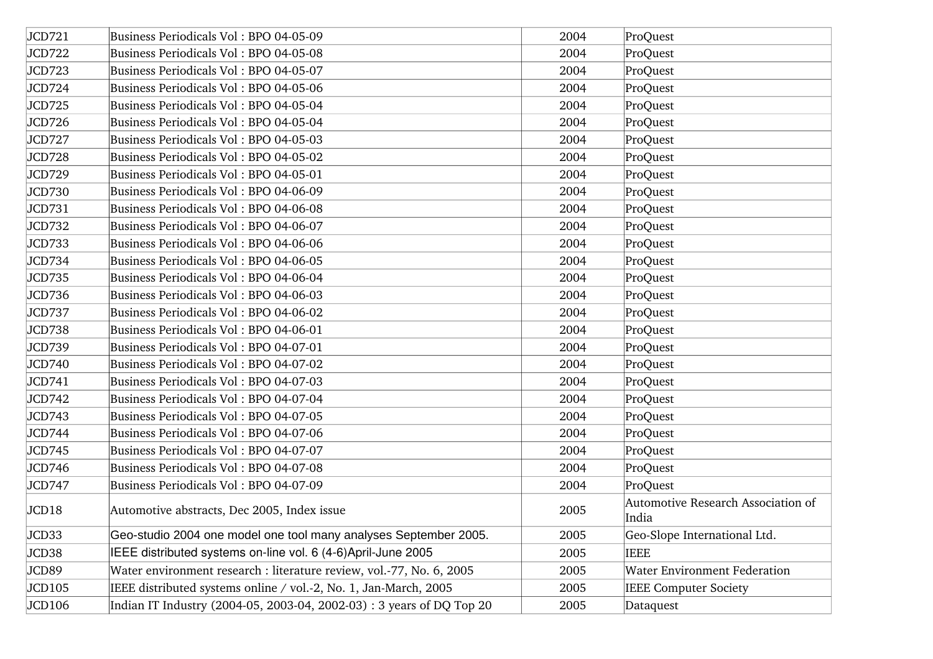| JCD721 | Business Periodicals Vol: BPO 04-05-09                                | 2004 | ProQuest                                    |
|--------|-----------------------------------------------------------------------|------|---------------------------------------------|
| JCD722 | Business Periodicals Vol: BPO 04-05-08                                | 2004 | ProQuest                                    |
| JCD723 | Business Periodicals Vol: BPO 04-05-07                                | 2004 | ProQuest                                    |
| JCD724 | Business Periodicals Vol: BPO 04-05-06                                | 2004 | ProQuest                                    |
| JCD725 | Business Periodicals Vol: BPO 04-05-04                                | 2004 | ProQuest                                    |
| JCD726 | Business Periodicals Vol: BPO 04-05-04                                | 2004 | ProQuest                                    |
| JCD727 | Business Periodicals Vol: BPO 04-05-03                                | 2004 | ProQuest                                    |
| JCD728 | Business Periodicals Vol: BPO 04-05-02                                | 2004 | ProQuest                                    |
| JCD729 | Business Periodicals Vol: BPO 04-05-01                                | 2004 | ProQuest                                    |
| JCD730 | Business Periodicals Vol: BPO 04-06-09                                | 2004 | ProQuest                                    |
| JCD731 | Business Periodicals Vol: BPO 04-06-08                                | 2004 | ProQuest                                    |
| JCD732 | Business Periodicals Vol: BPO 04-06-07                                | 2004 | ProQuest                                    |
| JCD733 | Business Periodicals Vol: BPO 04-06-06                                | 2004 | ProQuest                                    |
| JCD734 | Business Periodicals Vol: BPO 04-06-05                                | 2004 | ProQuest                                    |
| JCD735 | Business Periodicals Vol: BPO 04-06-04                                | 2004 | ProQuest                                    |
| JCD736 | Business Periodicals Vol: BPO 04-06-03                                | 2004 | ProQuest                                    |
| JCD737 | Business Periodicals Vol: BPO 04-06-02                                | 2004 | ProQuest                                    |
| JCD738 | Business Periodicals Vol: BPO 04-06-01                                | 2004 | ProQuest                                    |
| JCD739 | Business Periodicals Vol: BPO 04-07-01                                | 2004 | ProQuest                                    |
| JCD740 | Business Periodicals Vol: BPO 04-07-02                                | 2004 | ProQuest                                    |
| JCD741 | Business Periodicals Vol: BPO 04-07-03                                | 2004 | ProQuest                                    |
| JCD742 | Business Periodicals Vol: BPO 04-07-04                                | 2004 | ProQuest                                    |
| JCD743 | Business Periodicals Vol: BPO 04-07-05                                | 2004 | ProQuest                                    |
| JCD744 | Business Periodicals Vol: BPO 04-07-06                                | 2004 | ProQuest                                    |
| JCD745 | Business Periodicals Vol: BPO 04-07-07                                | 2004 | ProQuest                                    |
| JCD746 | Business Periodicals Vol: BPO 04-07-08                                | 2004 | ProQuest                                    |
| JCD747 | Business Periodicals Vol: BPO 04-07-09                                | 2004 | ProQuest                                    |
| JCD18  | Automotive abstracts, Dec 2005, Index issue                           | 2005 | Automotive Research Association of<br>India |
| JCD33  | Geo-studio 2004 one model one tool many analyses September 2005.      | 2005 | Geo-Slope International Ltd.                |
| JCD38  | IEEE distributed systems on-line vol. 6 (4-6) April-June 2005         | 2005 | <b>IEEE</b>                                 |
| JCD89  | Water environment research : literature review, vol.-77, No. 6, 2005  | 2005 | <b>Water Environment Federation</b>         |
| JCD105 | IEEE distributed systems online / vol.-2, No. 1, Jan-March, 2005      | 2005 | <b>IEEE Computer Society</b>                |
| JCD106 | Indian IT Industry (2004-05, 2003-04, 2002-03) : 3 years of DQ Top 20 | 2005 | Dataquest                                   |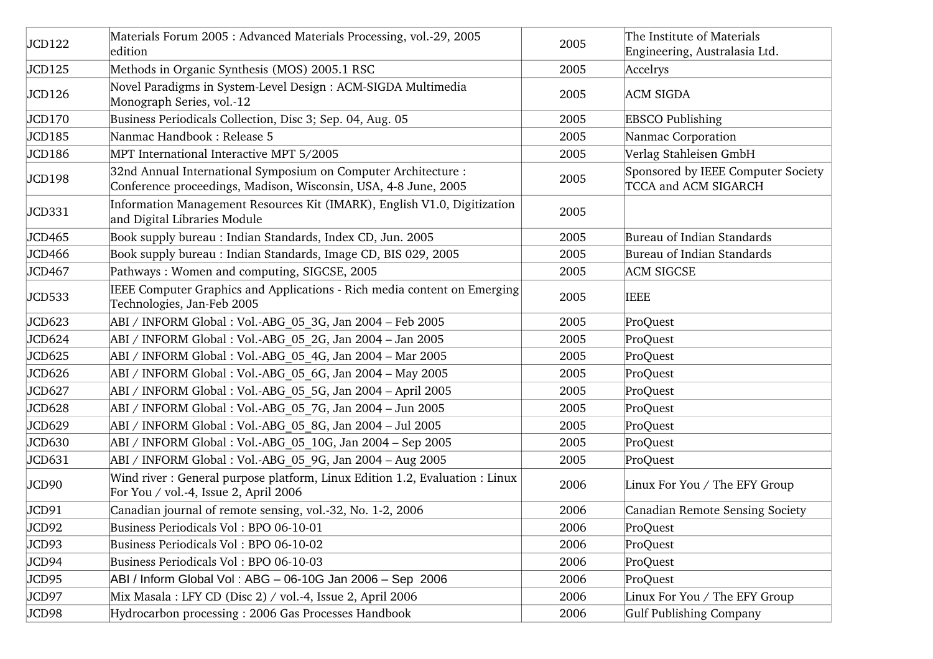| JCD122 | Materials Forum 2005 : Advanced Materials Processing, vol.-29, 2005<br>edition                                                    | 2005 | The Institute of Materials<br>Engineering, Australasia Ltd. |
|--------|-----------------------------------------------------------------------------------------------------------------------------------|------|-------------------------------------------------------------|
| JCD125 | Methods in Organic Synthesis (MOS) 2005.1 RSC                                                                                     | 2005 | Accelrys                                                    |
| JCD126 | Novel Paradigms in System-Level Design : ACM-SIGDA Multimedia<br>Monograph Series, vol.-12                                        | 2005 | <b>ACM SIGDA</b>                                            |
| JCD170 | Business Periodicals Collection, Disc 3; Sep. 04, Aug. 05                                                                         | 2005 | <b>EBSCO Publishing</b>                                     |
| JCD185 | Nanmac Handbook : Release 5                                                                                                       | 2005 | Nanmac Corporation                                          |
| JCD186 | MPT International Interactive MPT 5/2005                                                                                          | 2005 | Verlag Stahleisen GmbH                                      |
| JCD198 | 32nd Annual International Symposium on Computer Architecture :<br>Conference proceedings, Madison, Wisconsin, USA, 4-8 June, 2005 | 2005 | Sponsored by IEEE Computer Society<br>TCCA and ACM SIGARCH  |
| JCD331 | Information Management Resources Kit (IMARK), English V1.0, Digitization<br>and Digital Libraries Module                          | 2005 |                                                             |
| JCD465 | Book supply bureau : Indian Standards, Index CD, Jun. 2005                                                                        | 2005 | Bureau of Indian Standards                                  |
| JCD466 | Book supply bureau: Indian Standards, Image CD, BIS 029, 2005                                                                     | 2005 | Bureau of Indian Standards                                  |
| JCD467 | Pathways: Women and computing, SIGCSE, 2005                                                                                       | 2005 | <b>ACM SIGCSE</b>                                           |
| JCD533 | IEEE Computer Graphics and Applications - Rich media content on Emerging<br>Technologies, Jan-Feb 2005                            | 2005 | <b>IEEE</b>                                                 |
| JCD623 | ABI / INFORM Global : Vol.-ABG 05 3G, Jan 2004 – Feb 2005                                                                         | 2005 | ProQuest                                                    |
| JCD624 | ABI / INFORM Global : Vol.-ABG 05 2G, Jan 2004 - Jan 2005                                                                         | 2005 | ProQuest                                                    |
| JCD625 | ABI / INFORM Global : Vol.-ABG 05 4G, Jan 2004 - Mar 2005                                                                         | 2005 | ProQuest                                                    |
| JCD626 | ABI / INFORM Global : Vol.-ABG 05 6G, Jan 2004 - May 2005                                                                         | 2005 | ProQuest                                                    |
| JCD627 | ABI / INFORM Global : Vol.-ABG 05 5G, Jan 2004 - April 2005                                                                       | 2005 | ProQuest                                                    |
| JCD628 | ABI / INFORM Global : Vol.-ABG 05 7G, Jan 2004 - Jun 2005                                                                         | 2005 | ProQuest                                                    |
| JCD629 | ABI / INFORM Global : Vol.-ABG 05 8G, Jan 2004 - Jul 2005                                                                         | 2005 | ProQuest                                                    |
| JCD630 | ABI / INFORM Global : Vol.-ABG 05 10G, Jan 2004 – Sep 2005                                                                        | 2005 | ProQuest                                                    |
| JCD631 | ABI / INFORM Global : Vol.-ABG 05 9G, Jan 2004 - Aug 2005                                                                         | 2005 | ProQuest                                                    |
| JCD90  | Wind river: General purpose platform, Linux Edition 1.2, Evaluation: Linux<br>For You / vol.-4, Issue 2, April 2006               | 2006 | Linux For You / The EFY Group                               |
| JCD91  | Canadian journal of remote sensing, vol.-32, No. 1-2, 2006                                                                        | 2006 | Canadian Remote Sensing Society                             |
| JCD92  | Business Periodicals Vol : BPO 06-10-01                                                                                           | 2006 | ProQuest                                                    |
| JCD93  | Business Periodicals Vol: BPO 06-10-02                                                                                            | 2006 | ProQuest                                                    |
| JCD94  | Business Periodicals Vol: BPO 06-10-03                                                                                            | 2006 | ProQuest                                                    |
| JCD95  | ABI / Inform Global Vol : ABG - 06-10G Jan 2006 - Sep 2006                                                                        | 2006 | ProQuest                                                    |
| JCD97  | Mix Masala : LFY CD (Disc 2) / vol.-4, Issue 2, April 2006                                                                        | 2006 | Linux For You / The EFY Group                               |
| JCD98  | Hydrocarbon processing: 2006 Gas Processes Handbook                                                                               | 2006 | Gulf Publishing Company                                     |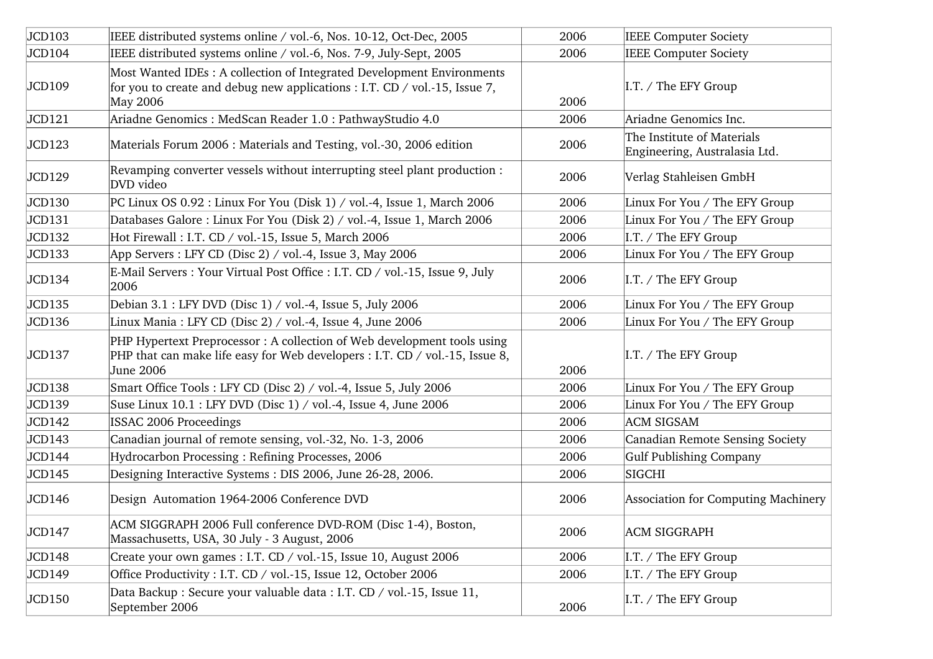| JCD103 | IEEE distributed systems online / vol.-6, Nos. 10-12, Oct-Dec, 2005                                                                                                  | 2006 | <b>IEEE Computer Society</b>                                |
|--------|----------------------------------------------------------------------------------------------------------------------------------------------------------------------|------|-------------------------------------------------------------|
| JCD104 | IEEE distributed systems online / vol.-6, Nos. 7-9, July-Sept, 2005                                                                                                  | 2006 | <b>IEEE Computer Society</b>                                |
| JCD109 | Most Wanted IDEs: A collection of Integrated Development Environments<br>for you to create and debug new applications : I.T. CD / vol.-15, Issue 7,<br>May 2006      | 2006 | $\vert I.T. \rangle$ The EFY Group                          |
| JCD121 | Ariadne Genomics: MedScan Reader 1.0: PathwayStudio 4.0                                                                                                              | 2006 | Ariadne Genomics Inc.                                       |
| JCD123 | Materials Forum 2006 : Materials and Testing, vol.-30, 2006 edition                                                                                                  | 2006 | The Institute of Materials<br>Engineering, Australasia Ltd. |
| JCD129 | Revamping converter vessels without interrupting steel plant production :<br>DVD video                                                                               | 2006 | Verlag Stahleisen GmbH                                      |
| JCD130 | PC Linux OS 0.92 : Linux For You (Disk 1) / vol.-4, Issue 1, March 2006                                                                                              | 2006 | Linux For You / The EFY Group                               |
| JCD131 | Databases Galore: Linux For You (Disk 2) / vol.-4, Issue 1, March 2006                                                                                               | 2006 | Linux For You / The EFY Group                               |
| JCD132 | Hot Firewall: I.T. CD / vol.-15, Issue 5, March 2006                                                                                                                 | 2006 | I.T. / The EFY Group                                        |
| JCD133 | App Servers : LFY CD (Disc 2) / vol.-4, Issue 3, May 2006                                                                                                            | 2006 | Linux For You / The EFY Group                               |
| JCD134 | E-Mail Servers : Your Virtual Post Office : I.T. CD / vol.-15, Issue 9, July<br>2006                                                                                 | 2006 | $\vert I.T. \rangle$ The EFY Group                          |
| JCD135 | Debian 3.1 : LFY DVD (Disc 1) / vol.-4, Issue 5, July 2006                                                                                                           | 2006 | Linux For You / The EFY Group                               |
| JCD136 | Linux Mania : LFY CD (Disc 2) / vol.-4, Issue 4, June 2006                                                                                                           | 2006 | Linux For You / The EFY Group                               |
| JCD137 | PHP Hypertext Preprocessor: A collection of Web development tools using<br>PHP that can make life easy for Web developers : I.T. CD / vol.-15, Issue 8,<br>June 2006 | 2006 | $\vert I.T. \rangle$ The EFY Group                          |
| JCD138 | Smart Office Tools: LFY CD (Disc 2) / vol.-4, Issue 5, July 2006                                                                                                     | 2006 | Linux For You / The EFY Group                               |
| JCD139 | Suse Linux 10.1 : LFY DVD (Disc 1) / vol.-4, Issue 4, June 2006                                                                                                      | 2006 | Linux For You / The EFY Group                               |
| JCD142 | ISSAC 2006 Proceedings                                                                                                                                               | 2006 | <b>ACM SIGSAM</b>                                           |
| JCD143 | Canadian journal of remote sensing, vol.-32, No. 1-3, 2006                                                                                                           | 2006 | Canadian Remote Sensing Society                             |
| JCD144 | Hydrocarbon Processing: Refining Processes, 2006                                                                                                                     | 2006 | Gulf Publishing Company                                     |
| JCD145 | Designing Interactive Systems: DIS 2006, June 26-28, 2006.                                                                                                           | 2006 | SIGCHI                                                      |
| JCD146 | Design Automation 1964-2006 Conference DVD                                                                                                                           | 2006 | Association for Computing Machinery                         |
| JCD147 | ACM SIGGRAPH 2006 Full conference DVD-ROM (Disc 1-4), Boston,<br>Massachusetts, USA, 30 July - 3 August, 2006                                                        | 2006 | <b>ACM SIGGRAPH</b>                                         |
| JCD148 | Create your own games : I.T. CD / vol.-15, Issue 10, August 2006                                                                                                     | 2006 | I.T. / The EFY Group                                        |
| JCD149 | Office Productivity: I.T. CD / vol.-15, Issue 12, October 2006                                                                                                       | 2006 | I.T. / The EFY Group                                        |
| JCD150 | Data Backup : Secure your valuable data : I.T. CD / vol.-15, Issue 11,<br>September 2006                                                                             | 2006 | I.T. / The EFY Group                                        |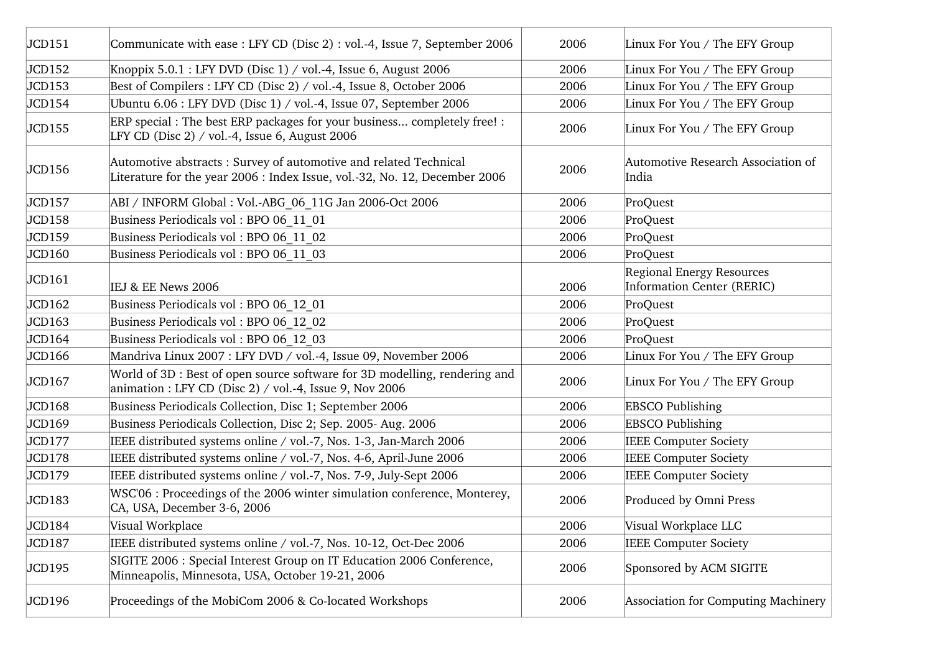| JCD151 | Communicate with ease : LFY CD (Disc 2) : vol.-4, Issue 7, September 2006                                                                      | 2006 | Linux For You / The EFY Group                           |
|--------|------------------------------------------------------------------------------------------------------------------------------------------------|------|---------------------------------------------------------|
| JCD152 | Knoppix $5.0.1$ : LFY DVD (Disc 1) / vol.-4, Issue 6, August 2006                                                                              | 2006 | Linux For You / The EFY Group                           |
| JCD153 | Best of Compilers : LFY CD (Disc 2) / vol.-4, Issue 8, October 2006                                                                            | 2006 | Linux For You / The EFY Group                           |
| JCD154 | Ubuntu 6.06 : LFY DVD (Disc 1) / vol.-4, Issue 07, September 2006                                                                              | 2006 | Linux For You / The EFY Group                           |
| JCD155 | ERP special : The best ERP packages for your business completely free! :<br>LFY CD (Disc $2)$ / vol.-4, Issue 6, August 2006                   | 2006 | Linux For You / The EFY Group                           |
| JCD156 | Automotive abstracts: Survey of automotive and related Technical<br>Literature for the year 2006 : Index Issue, vol.-32, No. 12, December 2006 | 2006 | Automotive Research Association of<br>India             |
| JCD157 | ABI / INFORM Global : Vol.-ABG 06 11G Jan 2006-Oct 2006                                                                                        | 2006 | ProQuest                                                |
| JCD158 | Business Periodicals vol: BPO 06 11 01                                                                                                         | 2006 | ProQuest                                                |
| JCD159 | Business Periodicals vol: BPO 06 11 02                                                                                                         | 2006 | ProQuest                                                |
| JCD160 | Business Periodicals vol: BPO 06 11 03                                                                                                         | 2006 | ProQuest                                                |
| JCD161 | IEJ & EE News 2006                                                                                                                             | 2006 | Regional Energy Resources<br>Information Center (RERIC) |
| JCD162 | Business Periodicals vol: BPO 06 12 01                                                                                                         | 2006 | ProQuest                                                |
| JCD163 | Business Periodicals vol: BPO 06 12 02                                                                                                         | 2006 | ProQuest                                                |
| JCD164 | Business Periodicals vol: BPO 06 12 03                                                                                                         | 2006 | ProQuest                                                |
| JCD166 | Mandriva Linux 2007 : LFY DVD / vol.-4, Issue 09, November 2006                                                                                | 2006 | Linux For You / The EFY Group                           |
| JCD167 | World of 3D : Best of open source software for 3D modelling, rendering and<br>animation : LFY CD (Disc 2) / vol.-4, Issue 9, Nov 2006          | 2006 | Linux For You / The EFY Group                           |
| JCD168 | Business Periodicals Collection, Disc 1; September 2006                                                                                        | 2006 | <b>EBSCO Publishing</b>                                 |
| JCD169 | Business Periodicals Collection, Disc 2; Sep. 2005- Aug. 2006                                                                                  | 2006 | <b>EBSCO Publishing</b>                                 |
| JCD177 | IEEE distributed systems online / vol.-7, Nos. 1-3, Jan-March 2006                                                                             | 2006 | <b>IEEE Computer Society</b>                            |
| JCD178 | IEEE distributed systems online / vol.-7, Nos. 4-6, April-June 2006                                                                            | 2006 | <b>IEEE Computer Society</b>                            |
| JCD179 | IEEE distributed systems online / vol.-7, Nos. 7-9, July-Sept 2006                                                                             | 2006 | <b>IEEE Computer Society</b>                            |
| JCD183 | WSC'06 : Proceedings of the 2006 winter simulation conference, Monterey,<br>CA, USA, December 3-6, 2006                                        | 2006 | Produced by Omni Press                                  |
| JCD184 | Visual Workplace                                                                                                                               | 2006 | Visual Workplace LLC                                    |
| JCD187 | IEEE distributed systems online / vol.-7, Nos. 10-12, Oct-Dec 2006                                                                             | 2006 | <b>IEEE Computer Society</b>                            |
| JCD195 | SIGITE 2006 : Special Interest Group on IT Education 2006 Conference,<br>Minneapolis, Minnesota, USA, October 19-21, 2006                      | 2006 | Sponsored by ACM SIGITE                                 |
| JCD196 | Proceedings of the MobiCom 2006 & Co-located Workshops                                                                                         | 2006 | Association for Computing Machinery                     |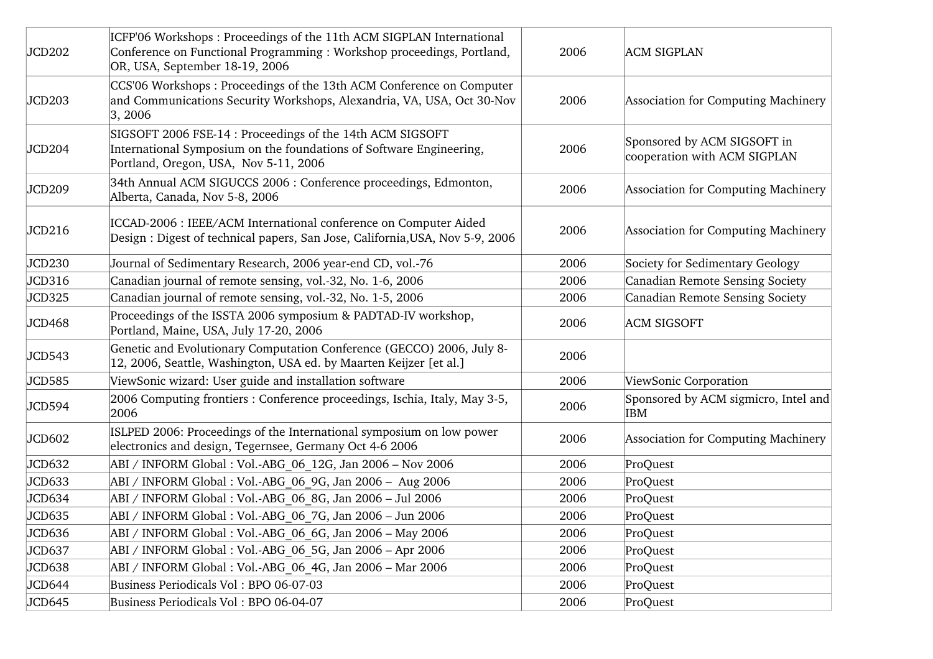| JCD202 | ICFP'06 Workshops: Proceedings of the 11th ACM SIGPLAN International<br>Conference on Functional Programming : Workshop proceedings, Portland,<br>OR, USA, September 18-19, 2006 | 2006 | <b>ACM SIGPLAN</b>                                          |
|--------|----------------------------------------------------------------------------------------------------------------------------------------------------------------------------------|------|-------------------------------------------------------------|
| JCD203 | CCS'06 Workshops: Proceedings of the 13th ACM Conference on Computer<br>and Communications Security Workshops, Alexandria, VA, USA, Oct 30-Nov<br> 3, 2006                       | 2006 | Association for Computing Machinery                         |
| JCD204 | SIGSOFT 2006 FSE-14 : Proceedings of the 14th ACM SIGSOFT<br>International Symposium on the foundations of Software Engineering,<br>Portland, Oregon, USA, Nov 5-11, 2006        | 2006 | Sponsored by ACM SIGSOFT in<br>cooperation with ACM SIGPLAN |
| JCD209 | 34th Annual ACM SIGUCCS 2006 : Conference proceedings, Edmonton,<br>Alberta, Canada, Nov 5-8, 2006                                                                               | 2006 | Association for Computing Machinery                         |
| JCD216 | ICCAD-2006 : IEEE/ACM International conference on Computer Aided<br>Design : Digest of technical papers, San Jose, California, USA, Nov 5-9, 2006                                | 2006 | Association for Computing Machinery                         |
| JCD230 | Journal of Sedimentary Research, 2006 year-end CD, vol.-76                                                                                                                       | 2006 | Society for Sedimentary Geology                             |
| JCD316 | Canadian journal of remote sensing, vol.-32, No. 1-6, 2006                                                                                                                       | 2006 | Canadian Remote Sensing Society                             |
| JCD325 | Canadian journal of remote sensing, vol.-32, No. 1-5, 2006                                                                                                                       | 2006 | Canadian Remote Sensing Society                             |
| JCD468 | Proceedings of the ISSTA 2006 symposium & PADTAD-IV workshop,<br>Portland, Maine, USA, July 17-20, 2006                                                                          | 2006 | <b>ACM SIGSOFT</b>                                          |
| JCD543 | Genetic and Evolutionary Computation Conference (GECCO) 2006, July 8-<br>12, 2006, Seattle, Washington, USA ed. by Maarten Keijzer [et al.]                                      | 2006 |                                                             |
| JCD585 | ViewSonic wizard: User guide and installation software                                                                                                                           | 2006 | ViewSonic Corporation                                       |
| JCD594 | 2006 Computing frontiers : Conference proceedings, Ischia, Italy, May 3-5,<br>2006                                                                                               | 2006 | Sponsored by ACM sigmicro, Intel and<br><b>IBM</b>          |
| JCD602 | ISLPED 2006: Proceedings of the International symposium on low power<br>electronics and design, Tegernsee, Germany Oct 4-6 2006                                                  | 2006 | Association for Computing Machinery                         |
| JCD632 | ABI / INFORM Global : Vol.-ABG 06 12G, Jan 2006 - Nov 2006                                                                                                                       | 2006 | ProQuest                                                    |
| JCD633 | ABI / INFORM Global : Vol.-ABG 06 9G, Jan 2006 - Aug 2006                                                                                                                        | 2006 | ProQuest                                                    |
| JCD634 | ABI / INFORM Global : Vol.-ABG 06 8G, Jan 2006 - Jul 2006                                                                                                                        | 2006 | ProQuest                                                    |
| JCD635 | ABI / INFORM Global : Vol.-ABG 06 7G, Jan 2006 - Jun 2006                                                                                                                        | 2006 | ProQuest                                                    |
| JCD636 | ABI / INFORM Global : Vol.-ABG 06 6G, Jan 2006 - May 2006                                                                                                                        | 2006 | ProQuest                                                    |
| JCD637 | ABI / INFORM Global : Vol.-ABG 06 5G, Jan 2006 - Apr 2006                                                                                                                        | 2006 | ProQuest                                                    |
| JCD638 | ABI / INFORM Global : Vol.-ABG 06 4G, Jan 2006 - Mar 2006                                                                                                                        | 2006 | ProQuest                                                    |
| JCD644 | Business Periodicals Vol: BPO 06-07-03                                                                                                                                           | 2006 | ProQuest                                                    |
| JCD645 | Business Periodicals Vol: BPO 06-04-07                                                                                                                                           | 2006 | ProQuest                                                    |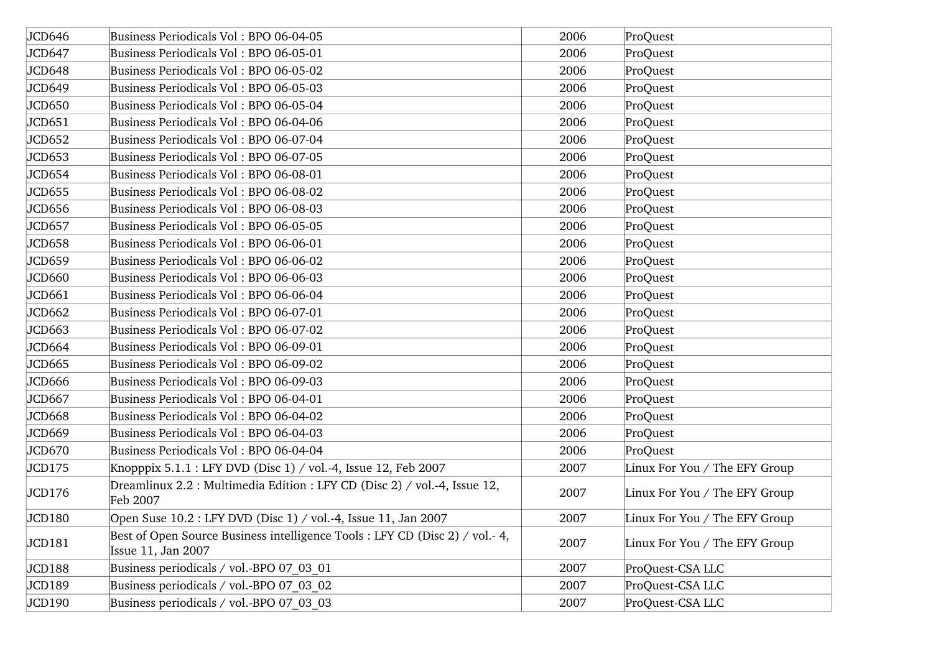| JCD646 | Business Periodicals Vol: BPO 06-04-05                                                            | 2006 | ProQuest                      |
|--------|---------------------------------------------------------------------------------------------------|------|-------------------------------|
| JCD647 | Business Periodicals Vol: BPO 06-05-01                                                            | 2006 | ProQuest                      |
| JCD648 | Business Periodicals Vol: BPO 06-05-02                                                            | 2006 | ProQuest                      |
| JCD649 | Business Periodicals Vol: BPO 06-05-03                                                            | 2006 | ProQuest                      |
| JCD650 | Business Periodicals Vol: BPO 06-05-04                                                            | 2006 | ProQuest                      |
| JCD651 | Business Periodicals Vol: BPO 06-04-06                                                            | 2006 | ProQuest                      |
| JCD652 | Business Periodicals Vol: BPO 06-07-04                                                            | 2006 | ProQuest                      |
| JCD653 | Business Periodicals Vol: BPO 06-07-05                                                            | 2006 | ProQuest                      |
| JCD654 | Business Periodicals Vol: BPO 06-08-01                                                            | 2006 | ProQuest                      |
| JCD655 | Business Periodicals Vol: BPO 06-08-02                                                            | 2006 | ProQuest                      |
| JCD656 | Business Periodicals Vol: BPO 06-08-03                                                            | 2006 | ProQuest                      |
| JCD657 | Business Periodicals Vol: BPO 06-05-05                                                            | 2006 | ProQuest                      |
| JCD658 | Business Periodicals Vol: BPO 06-06-01                                                            | 2006 | ProQuest                      |
| JCD659 | Business Periodicals Vol: BPO 06-06-02                                                            | 2006 | ProQuest                      |
| JCD660 | Business Periodicals Vol: BPO 06-06-03                                                            | 2006 | ProQuest                      |
| JCD661 | Business Periodicals Vol: BPO 06-06-04                                                            | 2006 | ProQuest                      |
| JCD662 | Business Periodicals Vol: BPO 06-07-01                                                            | 2006 | ProQuest                      |
| JCD663 | Business Periodicals Vol: BPO 06-07-02                                                            | 2006 | ProQuest                      |
| JCD664 | Business Periodicals Vol: BPO 06-09-01                                                            | 2006 | ProQuest                      |
| JCD665 | Business Periodicals Vol: BPO 06-09-02                                                            | 2006 | ProQuest                      |
| JCD666 | Business Periodicals Vol: BPO 06-09-03                                                            | 2006 | ProQuest                      |
| JCD667 | Business Periodicals Vol: BPO 06-04-01                                                            | 2006 | ProQuest                      |
| JCD668 | Business Periodicals Vol: BPO 06-04-02                                                            | 2006 | ProQuest                      |
| JCD669 | Business Periodicals Vol: BPO 06-04-03                                                            | 2006 | ProQuest                      |
| JCD670 | Business Periodicals Vol: BPO 06-04-04                                                            | 2006 | ProQuest                      |
| JCD175 | Knopppix 5.1.1 : LFY DVD (Disc 1) / vol.-4, Issue 12, Feb 2007                                    | 2007 | Linux For You / The EFY Group |
| JCD176 | Dreamlinux 2.2 : Multimedia Edition : LFY CD (Disc 2) / vol.-4, Issue 12,<br>Feb 2007             | 2007 | Linux For You / The EFY Group |
| JCD180 | Open Suse 10.2 : LFY DVD (Disc 1) / vol.-4, Issue 11, Jan 2007                                    | 2007 | Linux For You / The EFY Group |
| JCD181 | Best of Open Source Business intelligence Tools : LFY CD (Disc 2) / vol.-4,<br>Issue 11, Jan 2007 | 2007 | Linux For You / The EFY Group |
| JCD188 | Business periodicals / vol.-BPO 07 03 01                                                          | 2007 | ProQuest-CSA LLC              |
| JCD189 | Business periodicals / vol.-BPO 07 03 02                                                          | 2007 | ProQuest-CSA LLC              |
| JCD190 | Business periodicals / vol.-BPO 07 03 03                                                          | 2007 | ProQuest-CSA LLC              |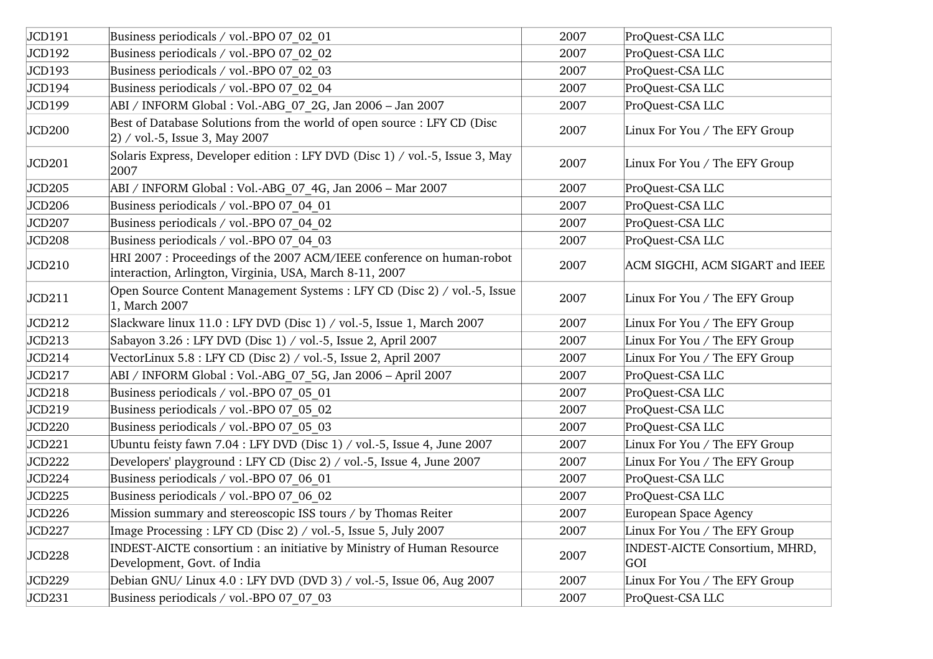| JCD191             | Business periodicals / vol.-BPO 07 02 01                                                                                         | 2007 | ProQuest-CSA LLC                      |
|--------------------|----------------------------------------------------------------------------------------------------------------------------------|------|---------------------------------------|
| JCD192             | Business periodicals / vol.-BPO 07 02 02                                                                                         | 2007 | ProQuest-CSA LLC                      |
| JCD193             | Business periodicals / vol.-BPO 07 02 03                                                                                         | 2007 | ProQuest-CSA LLC                      |
| JCD194             | Business periodicals / vol.-BPO 07 02 04                                                                                         | 2007 | ProQuest-CSA LLC                      |
| JCD199             | ABI / INFORM Global : Vol.-ABG 07 2G, Jan 2006 - Jan 2007                                                                        | 2007 | ProQuest-CSA LLC                      |
| JCD200             | Best of Database Solutions from the world of open source : LFY CD (Disc<br>$ 2)$ / vol.-5, Issue 3, May 2007                     | 2007 | Linux For You / The EFY Group         |
| JCD201             | Solaris Express, Developer edition : LFY DVD (Disc 1) / vol.-5, Issue 3, May<br>2007                                             | 2007 | Linux For You / The EFY Group         |
| JCD205             | ABI / INFORM Global : Vol.-ABG 07 4G, Jan 2006 - Mar 2007                                                                        | 2007 | ProQuest-CSA LLC                      |
| JCD206             | Business periodicals / vol.-BPO 07 04 01                                                                                         | 2007 | ProQuest-CSA LLC                      |
| JCD207             | Business periodicals / vol.-BPO 07 04 02                                                                                         | 2007 | ProQuest-CSA LLC                      |
| JCD <sub>208</sub> | Business periodicals / vol.-BPO 07 04 03                                                                                         | 2007 | ProQuest-CSA LLC                      |
| JCD210             | HRI 2007 : Proceedings of the 2007 ACM/IEEE conference on human-robot<br>interaction, Arlington, Virginia, USA, March 8-11, 2007 | 2007 | ACM SIGCHI, ACM SIGART and IEEE       |
| JCD211             | Open Source Content Management Systems : LFY CD (Disc 2) / vol.-5, Issue<br>1, March 2007                                        | 2007 | Linux For You / The EFY Group         |
| JCD212             | Slackware linux 11.0 : LFY DVD (Disc 1) / vol.-5, Issue 1, March 2007                                                            | 2007 | Linux For You / The EFY Group         |
| JCD213             | Sabayon 3.26 : LFY DVD (Disc 1) / vol.-5, Issue 2, April 2007                                                                    | 2007 | Linux For You / The EFY Group         |
| JCD214             | VectorLinux 5.8 : LFY CD (Disc 2) / vol.-5, Issue 2, April 2007                                                                  | 2007 | Linux For You / The EFY Group         |
| JCD217             | ABI / INFORM Global : Vol.-ABG 07 5G, Jan 2006 - April 2007                                                                      | 2007 | ProQuest-CSA LLC                      |
| JCD218             | Business periodicals / vol.-BPO 07_05_01                                                                                         | 2007 | ProQuest-CSA LLC                      |
| JCD219             | Business periodicals / vol.-BPO 07 05 02                                                                                         | 2007 | ProQuest-CSA LLC                      |
| JCD220             | Business periodicals / vol.-BPO 07 05 03                                                                                         | 2007 | ProQuest-CSA LLC                      |
| JCD221             | Ubuntu feisty fawn 7.04 : LFY DVD (Disc 1) / vol.-5, Issue 4, June 2007                                                          | 2007 | Linux For You / The EFY Group         |
| JCD222             | Developers' playground : LFY CD (Disc 2) / vol.-5, Issue 4, June 2007                                                            | 2007 | Linux For You / The EFY Group         |
| JCD224             | Business periodicals / vol.-BPO 07 06 01                                                                                         | 2007 | ProQuest-CSA LLC                      |
| JCD225             | Business periodicals / vol.-BPO 07 06 02                                                                                         | 2007 | ProQuest-CSA LLC                      |
| JCD226             | Mission summary and stereoscopic ISS tours / by Thomas Reiter                                                                    | 2007 | European Space Agency                 |
| JCD227             | Image Processing: LFY CD (Disc 2) / vol.-5, Issue 5, July 2007                                                                   | 2007 | Linux For You / The EFY Group         |
| JCD228             | INDEST-AICTE consortium : an initiative by Ministry of Human Resource<br>Development, Govt. of India                             | 2007 | INDEST-AICTE Consortium, MHRD,<br>GOI |
| JCD229             | Debian GNU/ Linux 4.0 : LFY DVD (DVD 3) / vol.-5, Issue 06, Aug 2007                                                             | 2007 | Linux For You / The EFY Group         |
| JCD231             | Business periodicals / vol.-BPO 07 07 03                                                                                         | 2007 | ProQuest-CSA LLC                      |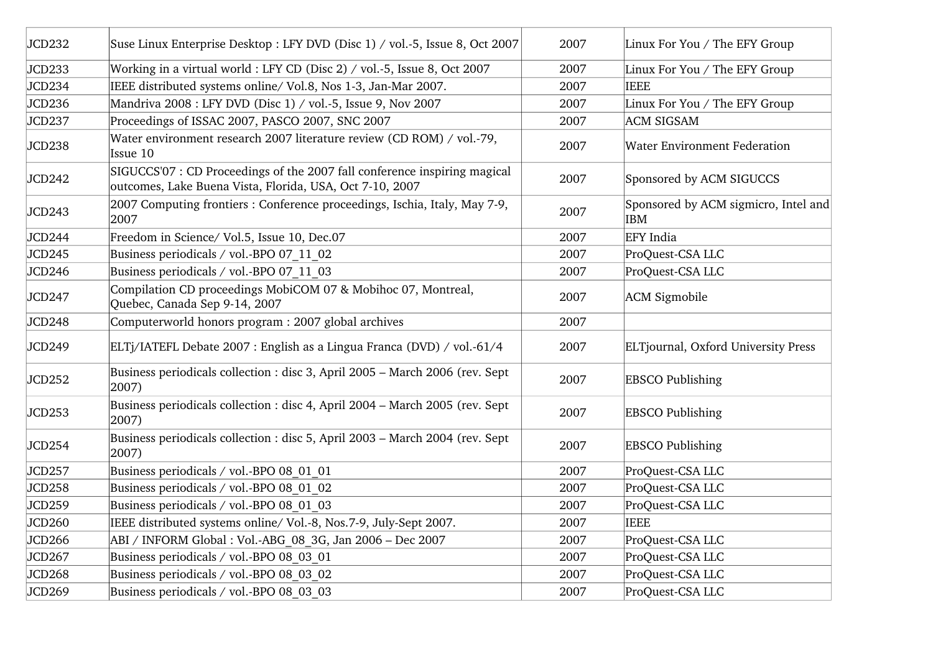| JCD232 | Suse Linux Enterprise Desktop: LFY DVD (Disc 1) / vol.-5, Issue 8, Oct 2007                                                           | 2007 | Linux For You / The EFY Group                      |
|--------|---------------------------------------------------------------------------------------------------------------------------------------|------|----------------------------------------------------|
| JCD233 | Working in a virtual world : LFY CD (Disc 2) / vol.-5, Issue 8, Oct 2007                                                              | 2007 | Linux For You / The EFY Group                      |
| JCD234 | IEEE distributed systems online/ Vol.8, Nos 1-3, Jan-Mar 2007.                                                                        | 2007 | <b>IEEE</b>                                        |
| JCD236 | Mandriva 2008 : LFY DVD (Disc 1) / vol.-5, Issue 9, Nov 2007                                                                          | 2007 | Linux For You / The EFY Group                      |
| JCD237 | Proceedings of ISSAC 2007, PASCO 2007, SNC 2007                                                                                       | 2007 | <b>ACM SIGSAM</b>                                  |
| JCD238 | Water environment research 2007 literature review (CD ROM) / vol.-79,<br>Issue 10                                                     | 2007 | <b>Water Environment Federation</b>                |
| JCD242 | SIGUCCS'07 : CD Proceedings of the 2007 fall conference inspiring magical<br>outcomes, Lake Buena Vista, Florida, USA, Oct 7-10, 2007 | 2007 | Sponsored by ACM SIGUCCS                           |
| JCD243 | 2007 Computing frontiers : Conference proceedings, Ischia, Italy, May 7-9,<br>2007                                                    | 2007 | Sponsored by ACM sigmicro, Intel and<br><b>IBM</b> |
| JCD244 | Freedom in Science/ Vol.5, Issue 10, Dec.07                                                                                           | 2007 | <b>EFY</b> India                                   |
| JCD245 | Business periodicals / vol.-BPO 07 11 02                                                                                              | 2007 | ProQuest-CSA LLC                                   |
| JCD246 | Business periodicals / vol.-BPO 07 11 03                                                                                              | 2007 | ProQuest-CSA LLC                                   |
| JCD247 | Compilation CD proceedings MobiCOM 07 & Mobihoc 07, Montreal,<br>Quebec, Canada Sep 9-14, 2007                                        | 2007 | <b>ACM</b> Sigmobile                               |
| JCD248 | Computerworld honors program : 2007 global archives                                                                                   | 2007 |                                                    |
| JCD249 | ELTj/IATEFL Debate 2007 : English as a Lingua Franca (DVD) / vol.-61/4                                                                | 2007 | ELTjournal, Oxford University Press                |
| JCD252 | Business periodicals collection : disc 3, April 2005 - March 2006 (rev. Sept<br>2007)                                                 | 2007 | <b>EBSCO Publishing</b>                            |
| JCD253 | Business periodicals collection : disc 4, April 2004 - March 2005 (rev. Sept<br>2007)                                                 | 2007 | <b>EBSCO Publishing</b>                            |
| JCD254 | Business periodicals collection : disc 5, April 2003 - March 2004 (rev. Sept<br>2007)                                                 | 2007 | <b>EBSCO Publishing</b>                            |
| JCD257 | Business periodicals / vol.-BPO 08 01 01                                                                                              | 2007 | ProQuest-CSA LLC                                   |
| JCD258 | Business periodicals / vol.-BPO 08 01 02                                                                                              | 2007 | ProQuest-CSA LLC                                   |
| JCD259 | Business periodicals / vol.-BPO 08 01 03                                                                                              | 2007 | ProQuest-CSA LLC                                   |
| JCD260 | IEEE distributed systems online/ Vol.-8, Nos.7-9, July-Sept 2007.                                                                     | 2007 | <b>IEEE</b>                                        |
| JCD266 | ABI / INFORM Global : Vol.-ABG_08_3G, Jan 2006 - Dec 2007                                                                             | 2007 | ProQuest-CSA LLC                                   |
| JCD267 | Business periodicals / vol.-BPO 08 03 01                                                                                              | 2007 | ProQuest-CSA LLC                                   |
| JCD268 | Business periodicals / vol.-BPO 08 03 02                                                                                              | 2007 | ProQuest-CSA LLC                                   |
| JCD269 | Business periodicals / vol.-BPO 08 03 03                                                                                              | 2007 | ProQuest-CSA LLC                                   |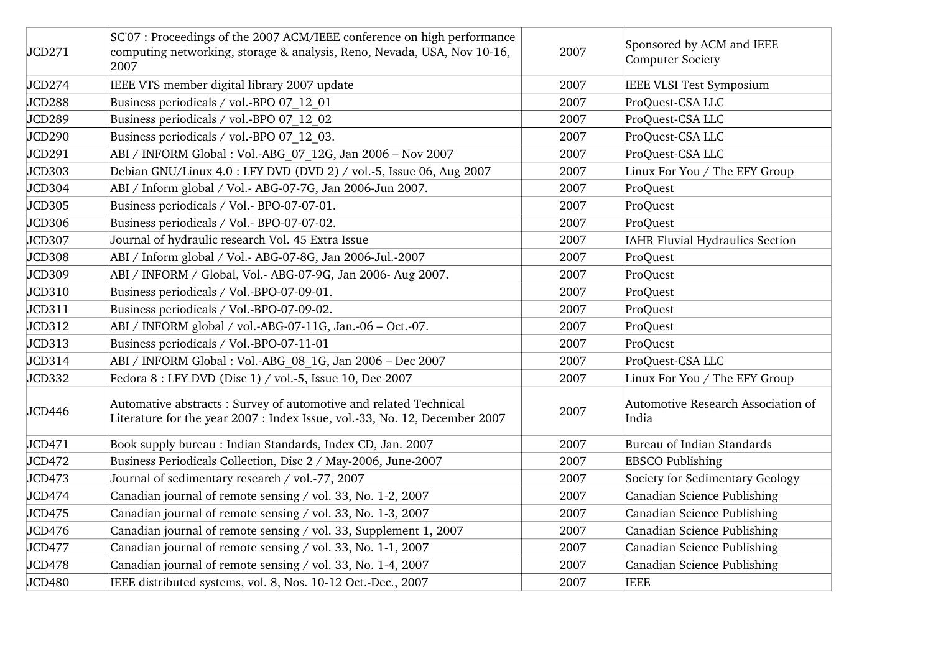| JCD271        | SC'07 : Proceedings of the 2007 ACM/IEEE conference on high performance<br>computing networking, storage & analysis, Reno, Nevada, USA, Nov 10-16,<br>2007 | 2007 | Sponsored by ACM and IEEE<br>Computer Society |
|---------------|------------------------------------------------------------------------------------------------------------------------------------------------------------|------|-----------------------------------------------|
| JCD274        | IEEE VTS member digital library 2007 update                                                                                                                | 2007 | IEEE VLSI Test Symposium                      |
| JCD288        | Business periodicals / vol.-BPO 07 12 01                                                                                                                   | 2007 | ProQuest-CSA LLC                              |
| JCD289        | Business periodicals / vol.-BPO 07 12 02                                                                                                                   | 2007 | ProQuest-CSA LLC                              |
| JCD290        | Business periodicals / vol.-BPO 07 12 03.                                                                                                                  | 2007 | ProQuest-CSA LLC                              |
| JCD291        | ABI / INFORM Global : Vol.-ABG 07 12G, Jan 2006 - Nov 2007                                                                                                 | 2007 | ProQuest-CSA LLC                              |
| JCD303        | Debian GNU/Linux 4.0 : LFY DVD (DVD 2) / vol.-5, Issue 06, Aug 2007                                                                                        | 2007 | Linux For You / The EFY Group                 |
| JCD304        | ABI / Inform global / Vol.- ABG-07-7G, Jan 2006-Jun 2007.                                                                                                  | 2007 | ProQuest                                      |
| JCD305        | Business periodicals / Vol.- BPO-07-07-01.                                                                                                                 | 2007 | ProQuest                                      |
| <b>JCD306</b> | Business periodicals / Vol.- BPO-07-07-02.                                                                                                                 | 2007 | ProQuest                                      |
| JCD307        | Journal of hydraulic research Vol. 45 Extra Issue                                                                                                          | 2007 | <b>IAHR Fluvial Hydraulics Section</b>        |
| JCD308        | ABI / Inform global / Vol.- ABG-07-8G, Jan 2006-Jul.-2007                                                                                                  | 2007 | ProQuest                                      |
| JCD309        | ABI / INFORM / Global, Vol.- ABG-07-9G, Jan 2006- Aug 2007.                                                                                                | 2007 | ProQuest                                      |
| JCD310        | Business periodicals / Vol.-BPO-07-09-01.                                                                                                                  | 2007 | ProQuest                                      |
| JCD311        | Business periodicals / Vol.-BPO-07-09-02.                                                                                                                  | 2007 | ProQuest                                      |
| JCD312        | $ABI / INFORM global / vol.-ABG-07-11G, Jan.-06 - Oct.-07.$                                                                                                | 2007 | ProQuest                                      |
| JCD313        | Business periodicals / Vol.-BPO-07-11-01                                                                                                                   | 2007 | ProQuest                                      |
| JCD314        | ABI / INFORM Global : Vol.-ABG 08 1G, Jan 2006 - Dec 2007                                                                                                  | 2007 | ProQuest-CSA LLC                              |
| JCD332        | Fedora 8 : LFY DVD (Disc 1) / vol.-5, Issue 10, Dec 2007                                                                                                   | 2007 | Linux For You / The EFY Group                 |
| JCD446        | Automative abstracts: Survey of automotive and related Technical<br>Literature for the year 2007 : Index Issue, vol.-33, No. 12, December 2007             | 2007 | Automotive Research Association of<br>India   |
| JCD471        | Book supply bureau: Indian Standards, Index CD, Jan. 2007                                                                                                  | 2007 | Bureau of Indian Standards                    |
| JCD472        | Business Periodicals Collection, Disc 2 / May-2006, June-2007                                                                                              | 2007 | <b>EBSCO Publishing</b>                       |
| JCD473        | Journal of sedimentary research / vol.-77, 2007                                                                                                            | 2007 | Society for Sedimentary Geology               |
| JCD474        | Canadian journal of remote sensing / vol. 33, No. 1-2, 2007                                                                                                | 2007 | Canadian Science Publishing                   |
| JCD475        | Canadian journal of remote sensing / vol. 33, No. 1-3, 2007                                                                                                | 2007 | Canadian Science Publishing                   |
| JCD476        | Canadian journal of remote sensing / vol. 33, Supplement 1, 2007                                                                                           | 2007 | Canadian Science Publishing                   |
| JCD477        | Canadian journal of remote sensing / vol. 33, No. 1-1, 2007                                                                                                | 2007 | Canadian Science Publishing                   |
| JCD478        | Canadian journal of remote sensing / vol. 33, No. 1-4, 2007                                                                                                | 2007 | Canadian Science Publishing                   |
| JCD480        | IEEE distributed systems, vol. 8, Nos. 10-12 Oct.-Dec., 2007                                                                                               | 2007 | <b>IEEE</b>                                   |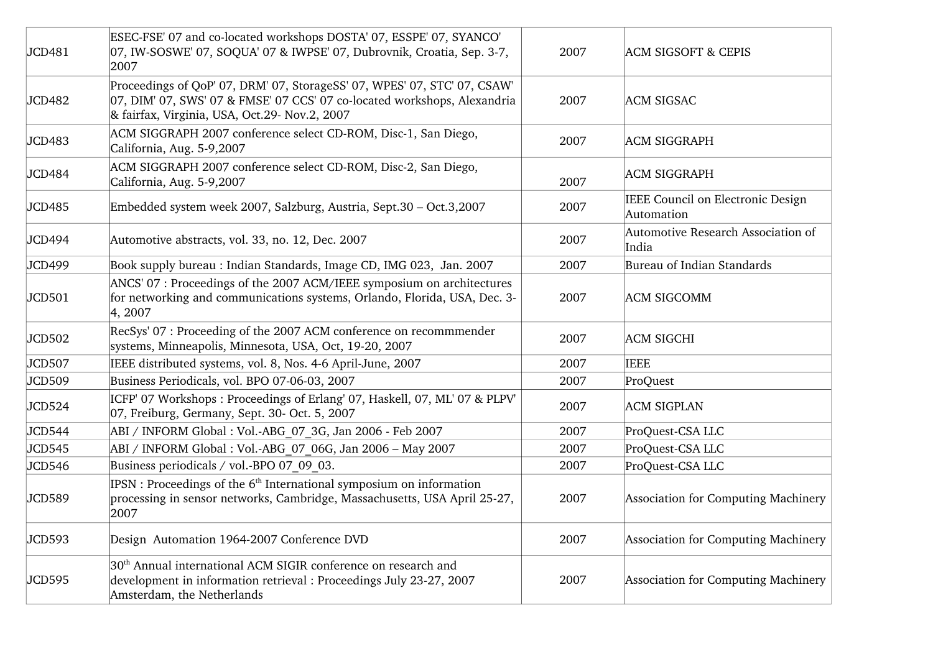| JCD481 | ESEC-FSE' 07 and co-located workshops DOSTA' 07, ESSPE' 07, SYANCO'<br>07, IW-SOSWE' 07, SOQUA' 07 & IWPSE' 07, Dubrovnik, Croatia, Sep. 3-7,<br>2007                                                 | 2007 | <b>ACM SIGSOFT &amp; CEPIS</b>                  |
|--------|-------------------------------------------------------------------------------------------------------------------------------------------------------------------------------------------------------|------|-------------------------------------------------|
| JCD482 | Proceedings of QoP' 07, DRM' 07, StorageSS' 07, WPES' 07, STC' 07, CSAW'<br>07, DIM' 07, SWS' 07 & FMSE' 07 CCS' 07 co-located workshops, Alexandria<br>& fairfax, Virginia, USA, Oct.29- Nov.2, 2007 | 2007 | <b>ACM SIGSAC</b>                               |
| JCD483 | ACM SIGGRAPH 2007 conference select CD-ROM, Disc-1, San Diego,<br>California, Aug. 5-9,2007                                                                                                           | 2007 | <b>ACM SIGGRAPH</b>                             |
| JCD484 | ACM SIGGRAPH 2007 conference select CD-ROM, Disc-2, San Diego,<br>California, Aug. 5-9,2007                                                                                                           | 2007 | <b>ACM SIGGRAPH</b>                             |
| JCD485 | Embedded system week 2007, Salzburg, Austria, Sept.30 – Oct.3,2007                                                                                                                                    | 2007 | IEEE Council on Electronic Design<br>Automation |
| JCD494 | Automotive abstracts, vol. 33, no. 12, Dec. 2007                                                                                                                                                      | 2007 | Automotive Research Association of<br>India     |
| JCD499 | Book supply bureau : Indian Standards, Image CD, IMG 023, Jan. 2007                                                                                                                                   | 2007 | Bureau of Indian Standards                      |
| JCD501 | ANCS' 07 : Proceedings of the 2007 ACM/IEEE symposium on architectures<br>for networking and communications systems, Orlando, Florida, USA, Dec. 3-<br>4, 2007                                        | 2007 | <b>ACM SIGCOMM</b>                              |
| JCD502 | RecSys' 07 : Proceeding of the 2007 ACM conference on recommmender<br>systems, Minneapolis, Minnesota, USA, Oct, 19-20, 2007                                                                          | 2007 | <b>ACM SIGCHI</b>                               |
| JCD507 | IEEE distributed systems, vol. 8, Nos. 4-6 April-June, 2007                                                                                                                                           | 2007 | <b>IEEE</b>                                     |
| JCD509 | Business Periodicals, vol. BPO 07-06-03, 2007                                                                                                                                                         | 2007 | ProQuest                                        |
| JCD524 | ICFP' 07 Workshops: Proceedings of Erlang' 07, Haskell, 07, ML' 07 & PLPV'<br>07, Freiburg, Germany, Sept. 30- Oct. 5, 2007                                                                           | 2007 | <b>ACM SIGPLAN</b>                              |
| JCD544 | ABI / INFORM Global : Vol.-ABG 07 3G, Jan 2006 - Feb 2007                                                                                                                                             | 2007 | ProQuest-CSA LLC                                |
| JCD545 | ABI / INFORM Global : Vol.-ABG 07 06G, Jan 2006 - May 2007                                                                                                                                            | 2007 | ProQuest-CSA LLC                                |
| JCD546 | Business periodicals / vol.-BPO 07 09 03.                                                                                                                                                             | 2007 | ProQuest-CSA LLC                                |
| JCD589 | IPSN: Proceedings of the 6 <sup>th</sup> International symposium on information<br>processing in sensor networks, Cambridge, Massachusetts, USA April 25-27,<br>2007                                  | 2007 | Association for Computing Machinery             |
| JCD593 | Design Automation 1964-2007 Conference DVD                                                                                                                                                            | 2007 | Association for Computing Machinery             |
| JCD595 | 30 <sup>th</sup> Annual international ACM SIGIR conference on research and<br>development in information retrieval : Proceedings July 23-27, 2007<br>Amsterdam, the Netherlands                       | 2007 | Association for Computing Machinery             |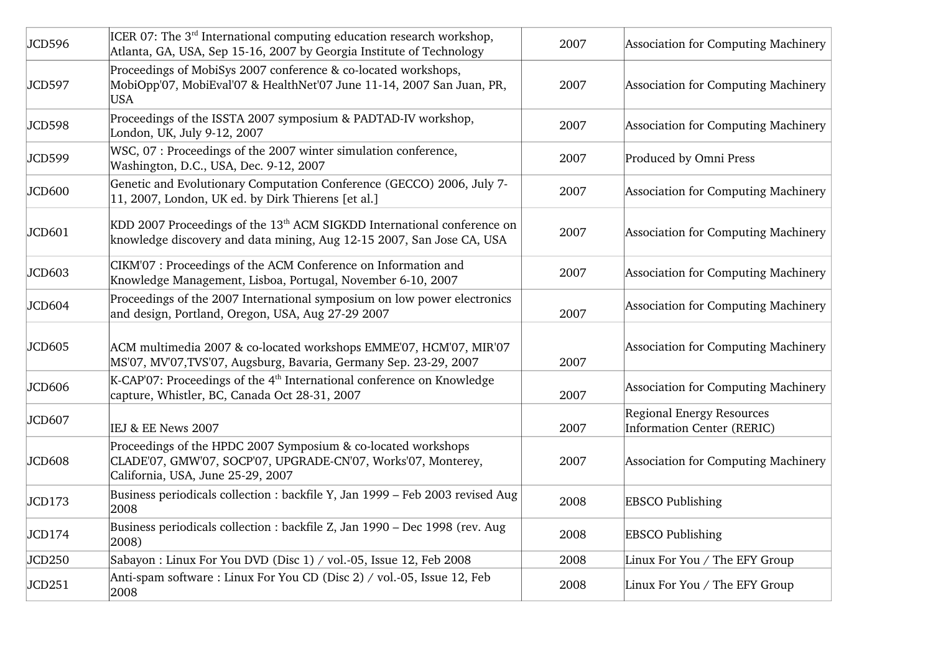| JCD596 | ICER 07: The 3 <sup>rd</sup> International computing education research workshop,<br>Atlanta, GA, USA, Sep 15-16, 2007 by Georgia Institute of Technology           | 2007 | Association for Computing Machinery                                   |
|--------|---------------------------------------------------------------------------------------------------------------------------------------------------------------------|------|-----------------------------------------------------------------------|
| JCD597 | Proceedings of MobiSys 2007 conference & co-located workshops,<br>MobiOpp'07, MobiEval'07 & HealthNet'07 June 11-14, 2007 San Juan, PR,<br>USA.                     | 2007 | Association for Computing Machinery                                   |
| JCD598 | Proceedings of the ISSTA 2007 symposium & PADTAD-IV workshop,<br>London, UK, July 9-12, 2007                                                                        | 2007 | Association for Computing Machinery                                   |
| JCD599 | WSC, 07: Proceedings of the 2007 winter simulation conference,<br>Washington, D.C., USA, Dec. 9-12, 2007                                                            | 2007 | Produced by Omni Press                                                |
| JCD600 | Genetic and Evolutionary Computation Conference (GECCO) 2006, July 7-<br>11, 2007, London, UK ed. by Dirk Thierens [et al.]                                         | 2007 | Association for Computing Machinery                                   |
| JCD601 | KDD 2007 Proceedings of the 13 <sup>th</sup> ACM SIGKDD International conference on<br>knowledge discovery and data mining, Aug 12-15 2007, San Jose CA, USA        | 2007 | Association for Computing Machinery                                   |
| JCD603 | CIKM'07 : Proceedings of the ACM Conference on Information and<br>Knowledge Management, Lisboa, Portugal, November 6-10, 2007                                       | 2007 | Association for Computing Machinery                                   |
| JCD604 | Proceedings of the 2007 International symposium on low power electronics<br>and design, Portland, Oregon, USA, Aug 27-29 2007                                       | 2007 | Association for Computing Machinery                                   |
| JCD605 | ACM multimedia 2007 & co-located workshops EMME'07, HCM'07, MIR'07<br>MS'07, MV'07,TVS'07, Augsburg, Bavaria, Germany Sep. 23-29, 2007                              | 2007 | Association for Computing Machinery                                   |
| JCD606 | K-CAP'07: Proceedings of the 4 <sup>th</sup> International conference on Knowledge<br>capture, Whistler, BC, Canada Oct 28-31, 2007                                 | 2007 | <b>Association for Computing Machinery</b>                            |
| JCD607 | IEJ & EE News 2007                                                                                                                                                  | 2007 | <b>Regional Energy Resources</b><br><b>Information Center (RERIC)</b> |
| JCD608 | Proceedings of the HPDC 2007 Symposium & co-located workshops<br>CLADE'07, GMW'07, SOCP'07, UPGRADE-CN'07, Works'07, Monterey,<br>California, USA, June 25-29, 2007 | 2007 | Association for Computing Machinery                                   |
| JCD173 | Business periodicals collection : backfile Y, Jan 1999 - Feb 2003 revised Aug<br>2008                                                                               | 2008 | <b>EBSCO Publishing</b>                                               |
| JCD174 | Business periodicals collection : backfile Z, Jan 1990 – Dec 1998 (rev. Aug<br>2008)                                                                                | 2008 | <b>EBSCO Publishing</b>                                               |
| JCD250 | Sabayon : Linux For You DVD (Disc 1) / vol.-05, Issue 12, Feb 2008                                                                                                  | 2008 | Linux For You / The EFY Group                                         |
| JCD251 | Anti-spam software: Linux For You CD (Disc 2) / vol.-05, Issue 12, Feb<br>2008                                                                                      | 2008 | Linux For You / The EFY Group                                         |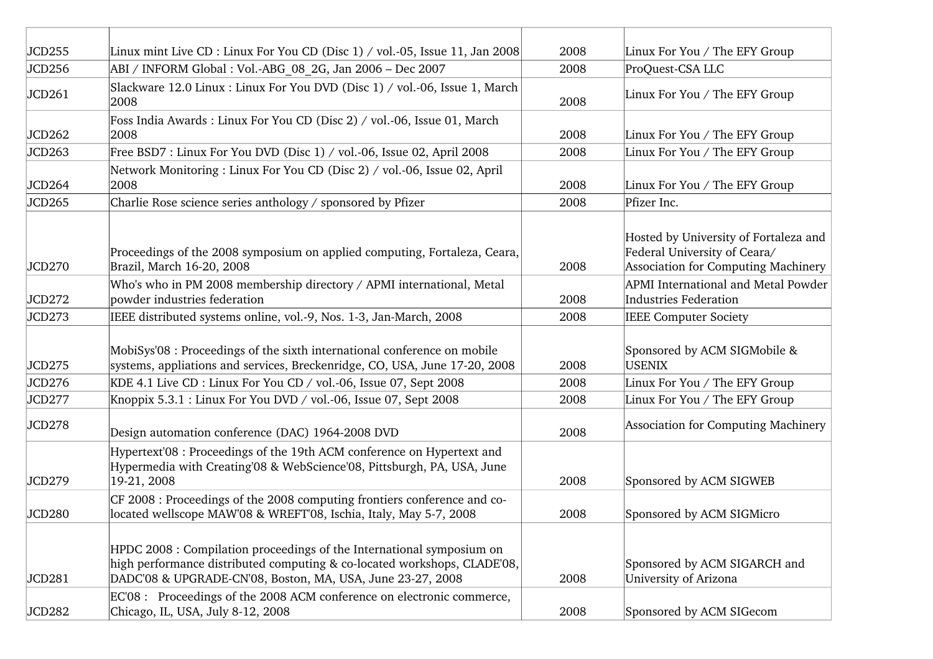| JCD255 | Linux mint Live CD : Linux For You CD (Disc 1) / vol.-05, Issue 11, Jan 2008                                                                                                                                    | 2008 | Linux For You / The EFY Group                                                                                |
|--------|-----------------------------------------------------------------------------------------------------------------------------------------------------------------------------------------------------------------|------|--------------------------------------------------------------------------------------------------------------|
| JCD256 | ABI / INFORM Global : Vol.-ABG 08 2G, Jan 2006 - Dec 2007                                                                                                                                                       | 2008 | ProQuest-CSA LLC                                                                                             |
| JCD261 | Slackware 12.0 Linux : Linux For You DVD (Disc 1) / vol.-06, Issue 1, March<br>2008                                                                                                                             | 2008 | Linux For You / The EFY Group                                                                                |
| JCD262 | Foss India Awards : Linux For You CD (Disc 2) / vol.-06, Issue 01, March<br>2008                                                                                                                                | 2008 | Linux For You / The EFY Group                                                                                |
| JCD263 | Free BSD7 : Linux For You DVD (Disc 1) / vol.-06, Issue 02, April 2008                                                                                                                                          | 2008 | Linux For You / The EFY Group                                                                                |
| JCD264 | Network Monitoring: Linux For You CD (Disc 2) / vol.-06, Issue 02, April<br>2008                                                                                                                                | 2008 | Linux For You / The EFY Group                                                                                |
| JCD265 | Charlie Rose science series anthology / sponsored by Pfizer                                                                                                                                                     | 2008 | Pfizer Inc.                                                                                                  |
| JCD270 | Proceedings of the 2008 symposium on applied computing, Fortaleza, Ceara,<br>Brazil, March 16-20, 2008                                                                                                          | 2008 | Hosted by University of Fortaleza and<br>Federal University of Ceara/<br>Association for Computing Machinery |
| JCD272 | Who's who in PM 2008 membership directory / APMI international, Metal<br>powder industries federation                                                                                                           | 2008 | APMI International and Metal Powder<br><b>Industries Federation</b>                                          |
| JCD273 | IEEE distributed systems online, vol.-9, Nos. 1-3, Jan-March, 2008                                                                                                                                              | 2008 | <b>IEEE Computer Society</b>                                                                                 |
| JCD275 | MobiSys'08 : Proceedings of the sixth international conference on mobile<br>systems, appliations and services, Breckenridge, CO, USA, June 17-20, 2008                                                          | 2008 | Sponsored by ACM SIGMobile &<br><b>USENIX</b>                                                                |
| JCD276 | KDE 4.1 Live CD : Linux For You CD / vol.-06, Issue 07, Sept 2008                                                                                                                                               | 2008 | Linux For You / The EFY Group                                                                                |
| JCD277 | Knoppix 5.3.1 : Linux For You DVD / vol.-06, Issue 07, Sept 2008                                                                                                                                                | 2008 | Linux For You / The EFY Group                                                                                |
| JCD278 | Design automation conference (DAC) 1964-2008 DVD                                                                                                                                                                | 2008 | Association for Computing Machinery                                                                          |
| JCD279 | Hypertext'08 : Proceedings of the 19th ACM conference on Hypertext and<br>Hypermedia with Creating'08 & WebScience'08, Pittsburgh, PA, USA, June<br>19-21, 2008                                                 | 2008 | Sponsored by ACM SIGWEB                                                                                      |
| JCD280 | CF 2008 : Proceedings of the 2008 computing frontiers conference and co-<br>located wellscope MAW'08 & WREFT'08, Ischia, Italy, May 5-7, 2008                                                                   | 2008 | Sponsored by ACM SIGMicro                                                                                    |
| JCD281 | HPDC 2008 : Compilation proceedings of the International symposium on<br>high performance distributed computing & co-located workshops, CLADE'08,<br>DADC'08 & UPGRADE-CN'08, Boston, MA, USA, June 23-27, 2008 | 2008 | Sponsored by ACM SIGARCH and<br>University of Arizona                                                        |
| JCD282 | $EC'08$ : Proceedings of the 2008 ACM conference on electronic commerce,<br>Chicago, IL, USA, July 8-12, 2008                                                                                                   | 2008 | Sponsored by ACM SIGecom                                                                                     |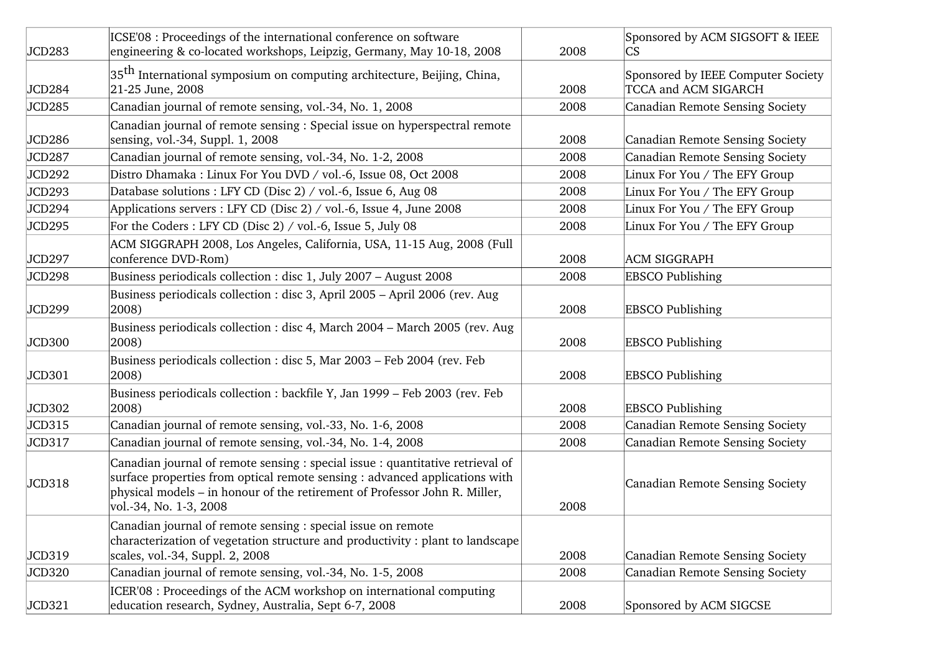| JCD283        | ICSE'08 : Proceedings of the international conference on software<br>engineering & co-located workshops, Leipzig, Germany, May 10-18, 2008                                                                                                                            | 2008 | Sponsored by ACM SIGSOFT & IEEE<br>CS                      |
|---------------|-----------------------------------------------------------------------------------------------------------------------------------------------------------------------------------------------------------------------------------------------------------------------|------|------------------------------------------------------------|
| JCD284        | $35th$ International symposium on computing architecture, Beijing, China,<br>21-25 June, 2008                                                                                                                                                                         | 2008 | Sponsored by IEEE Computer Society<br>TCCA and ACM SIGARCH |
| JCD285        | Canadian journal of remote sensing, vol.-34, No. 1, 2008                                                                                                                                                                                                              | 2008 | Canadian Remote Sensing Society                            |
| JCD286        | Canadian journal of remote sensing : Special issue on hyperspectral remote<br>sensing, vol.-34, Suppl. 1, 2008                                                                                                                                                        | 2008 | Canadian Remote Sensing Society                            |
| JCD287        | Canadian journal of remote sensing, vol.-34, No. 1-2, 2008                                                                                                                                                                                                            | 2008 | Canadian Remote Sensing Society                            |
| <b>JCD292</b> | Distro Dhamaka : Linux For You DVD / vol.-6, Issue 08, Oct 2008                                                                                                                                                                                                       | 2008 | Linux For You / The EFY Group                              |
| <b>JCD293</b> | Database solutions : LFY CD (Disc 2) / vol.-6, Issue 6, Aug 08                                                                                                                                                                                                        | 2008 | Linux For You / The EFY Group                              |
| JCD294        | Applications servers : LFY CD (Disc 2) / vol.-6, Issue 4, June 2008                                                                                                                                                                                                   | 2008 | Linux For You / The EFY Group                              |
| JCD295        | For the Coders: LFY CD (Disc 2) / vol.-6, Issue 5, July 08                                                                                                                                                                                                            | 2008 | Linux For You / The EFY Group                              |
| JCD297        | ACM SIGGRAPH 2008, Los Angeles, California, USA, 11-15 Aug, 2008 (Full<br>conference DVD-Rom)                                                                                                                                                                         | 2008 | <b>ACM SIGGRAPH</b>                                        |
| JCD298        | Business periodicals collection : disc 1, July 2007 - August 2008                                                                                                                                                                                                     | 2008 | <b>EBSCO Publishing</b>                                    |
| JCD299        | Business periodicals collection : disc 3, April 2005 – April 2006 (rev. Aug<br>2008)                                                                                                                                                                                  | 2008 | <b>EBSCO Publishing</b>                                    |
| JCD300        | Business periodicals collection : disc 4, March 2004 – March 2005 (rev. Aug<br>2008)                                                                                                                                                                                  | 2008 | <b>EBSCO Publishing</b>                                    |
| JCD301        | Business periodicals collection : disc 5, Mar 2003 – Feb 2004 (rev. Feb<br>2008)                                                                                                                                                                                      | 2008 | <b>EBSCO Publishing</b>                                    |
| JCD302        | Business periodicals collection : backfile Y, Jan 1999 – Feb 2003 (rev. Feb<br>2008)                                                                                                                                                                                  | 2008 | <b>EBSCO Publishing</b>                                    |
| JCD315        | Canadian journal of remote sensing, vol.-33, No. 1-6, 2008                                                                                                                                                                                                            | 2008 | Canadian Remote Sensing Society                            |
| JCD317        | Canadian journal of remote sensing, vol.-34, No. 1-4, 2008                                                                                                                                                                                                            | 2008 | Canadian Remote Sensing Society                            |
| JCD318        | Canadian journal of remote sensing : special issue : quantitative retrieval of<br>surface properties from optical remote sensing : advanced applications with<br>physical models – in honour of the retirement of Professor John R. Miller,<br>vol.-34, No. 1-3, 2008 | 2008 | Canadian Remote Sensing Society                            |
| JCD319        | Canadian journal of remote sensing : special issue on remote<br>characterization of vegetation structure and productivity : plant to landscape<br>scales, vol.-34, Suppl. 2, 2008                                                                                     | 2008 | Canadian Remote Sensing Society                            |
| JCD320        | Canadian journal of remote sensing, vol.-34, No. 1-5, 2008                                                                                                                                                                                                            | 2008 | Canadian Remote Sensing Society                            |
| JCD321        | ICER'08 : Proceedings of the ACM workshop on international computing<br>education research, Sydney, Australia, Sept 6-7, 2008                                                                                                                                         | 2008 | Sponsored by ACM SIGCSE                                    |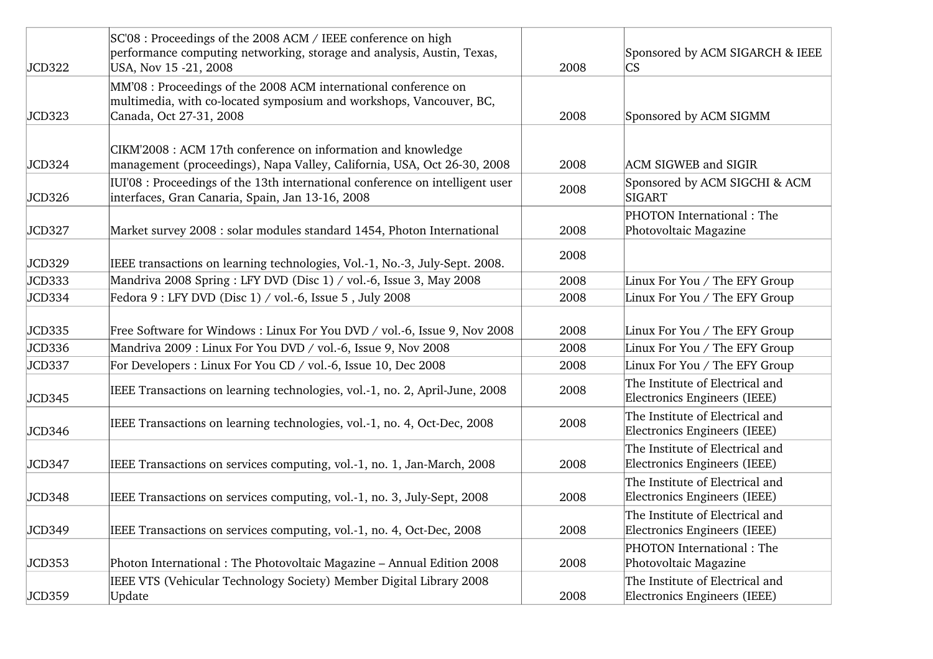| JCD322 | SC'08 : Proceedings of the 2008 ACM / IEEE conference on high<br>performance computing networking, storage and analysis, Austin, Texas,<br>USA, Nov 15 -21, 2008  | 2008 | Sponsored by ACM SIGARCH & IEEE<br><b>CS</b>                    |
|--------|-------------------------------------------------------------------------------------------------------------------------------------------------------------------|------|-----------------------------------------------------------------|
| JCD323 | MM'08 : Proceedings of the 2008 ACM international conference on<br>multimedia, with co-located symposium and workshops, Vancouver, BC,<br>Canada, Oct 27-31, 2008 | 2008 | Sponsored by ACM SIGMM                                          |
| JCD324 | CIKM'2008 : ACM 17th conference on information and knowledge<br>management (proceedings), Napa Valley, California, USA, Oct 26-30, 2008                           | 2008 | <b>ACM SIGWEB and SIGIR</b>                                     |
| JCD326 | IUI'08 : Proceedings of the 13th international conference on intelligent user<br>interfaces, Gran Canaria, Spain, Jan 13-16, 2008                                 | 2008 | Sponsored by ACM SIGCHI & ACM<br>SIGART                         |
| JCD327 | Market survey 2008 : solar modules standard 1454, Photon International                                                                                            | 2008 | PHOTON International: The<br>Photovoltaic Magazine              |
| JCD329 | IEEE transactions on learning technologies, Vol.-1, No.-3, July-Sept. 2008.                                                                                       | 2008 |                                                                 |
| JCD333 | Mandriva 2008 Spring : LFY DVD (Disc 1) / vol.-6, Issue 3, May 2008                                                                                               | 2008 | Linux For You / The EFY Group                                   |
| JCD334 | Fedora 9 : LFY DVD (Disc 1) / vol.-6, Issue 5, July 2008                                                                                                          | 2008 | Linux For You / The EFY Group                                   |
| JCD335 | Free Software for Windows: Linux For You DVD / vol.-6, Issue 9, Nov 2008                                                                                          | 2008 | Linux For You / The EFY Group                                   |
| JCD336 | Mandriva 2009 : Linux For You DVD / vol.-6, Issue 9, Nov 2008                                                                                                     | 2008 | Linux For You / The EFY Group                                   |
| JCD337 | For Developers : Linux For You CD / vol.-6, Issue 10, Dec 2008                                                                                                    | 2008 | Linux For You / The EFY Group                                   |
| JCD345 | IEEE Transactions on learning technologies, vol.-1, no. 2, April-June, 2008                                                                                       | 2008 | The Institute of Electrical and<br>Electronics Engineers (IEEE) |
| JCD346 | IEEE Transactions on learning technologies, vol.-1, no. 4, Oct-Dec, 2008                                                                                          | 2008 | The Institute of Electrical and<br>Electronics Engineers (IEEE) |
| JCD347 | IEEE Transactions on services computing, vol.-1, no. 1, Jan-March, 2008                                                                                           | 2008 | The Institute of Electrical and<br>Electronics Engineers (IEEE) |
| JCD348 | IEEE Transactions on services computing, vol.-1, no. 3, July-Sept, 2008                                                                                           | 2008 | The Institute of Electrical and<br>Electronics Engineers (IEEE) |
| JCD349 | IEEE Transactions on services computing, vol.-1, no. 4, Oct-Dec, 2008                                                                                             | 2008 | The Institute of Electrical and<br>Electronics Engineers (IEEE) |
| JCD353 | Photon International: The Photovoltaic Magazine - Annual Edition 2008                                                                                             | 2008 | PHOTON International: The<br>Photovoltaic Magazine              |
| JCD359 | IEEE VTS (Vehicular Technology Society) Member Digital Library 2008<br>Update                                                                                     | 2008 | The Institute of Electrical and<br>Electronics Engineers (IEEE) |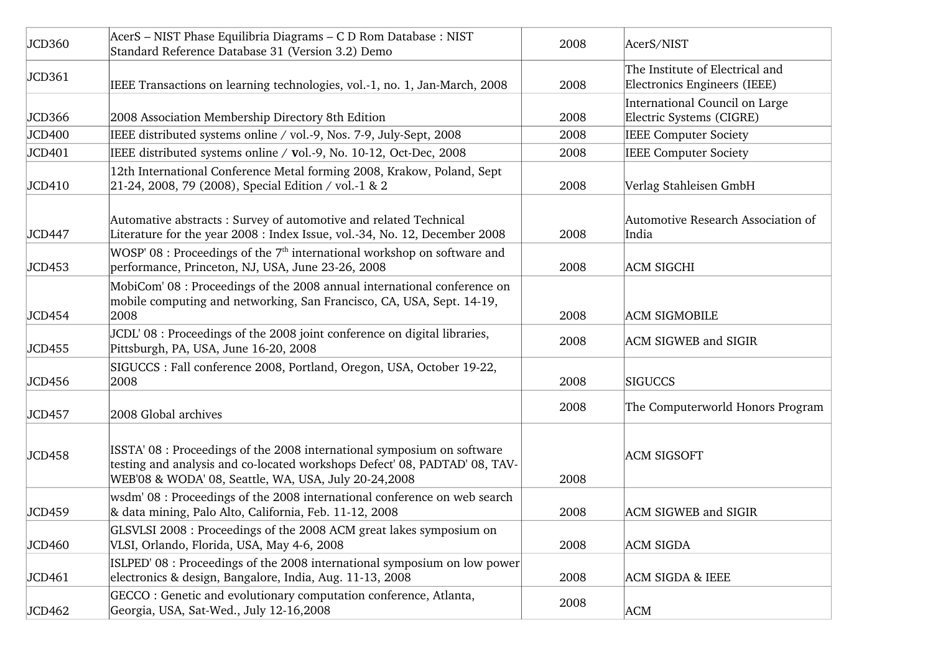| JCD360 | AcerS - NIST Phase Equilibria Diagrams - C D Rom Database : NIST<br>Standard Reference Database 31 (Version 3.2) Demo                                                                                         | 2008 | AcerS/NIST                                                      |
|--------|---------------------------------------------------------------------------------------------------------------------------------------------------------------------------------------------------------------|------|-----------------------------------------------------------------|
| JCD361 | IEEE Transactions on learning technologies, vol.-1, no. 1, Jan-March, 2008                                                                                                                                    | 2008 | The Institute of Electrical and<br>Electronics Engineers (IEEE) |
| JCD366 | 2008 Association Membership Directory 8th Edition                                                                                                                                                             | 2008 | International Council on Large<br>Electric Systems (CIGRE)      |
| JCD400 | IEEE distributed systems online / vol.-9, Nos. 7-9, July-Sept, 2008                                                                                                                                           | 2008 | <b>IEEE Computer Society</b>                                    |
| JCD401 | IEEE distributed systems online / vol.-9, No. 10-12, Oct-Dec, 2008                                                                                                                                            | 2008 | <b>IEEE Computer Society</b>                                    |
| JCD410 | 12th International Conference Metal forming 2008, Krakow, Poland, Sept<br>21-24, 2008, 79 (2008), Special Edition / vol.-1 & 2                                                                                | 2008 | Verlag Stahleisen GmbH                                          |
| JCD447 | Automative abstracts: Survey of automotive and related Technical<br>Literature for the year 2008 : Index Issue, vol.-34, No. 12, December 2008                                                                | 2008 | Automotive Research Association of<br>India                     |
| JCD453 | WOSP' 08 : Proceedings of the $7th$ international workshop on software and<br>performance, Princeton, NJ, USA, June 23-26, 2008                                                                               | 2008 | <b>ACM SIGCHI</b>                                               |
| JCD454 | MobiCom' 08 : Proceedings of the 2008 annual international conference on<br>mobile computing and networking, San Francisco, CA, USA, Sept. 14-19,<br>2008                                                     | 2008 | <b>ACM SIGMOBILE</b>                                            |
| JCD455 | JCDL'08 : Proceedings of the 2008 joint conference on digital libraries,<br>Pittsburgh, PA, USA, June 16-20, 2008                                                                                             | 2008 | <b>ACM SIGWEB and SIGIR</b>                                     |
| JCD456 | SIGUCCS : Fall conference 2008, Portland, Oregon, USA, October 19-22,<br>2008                                                                                                                                 | 2008 | <b>SIGUCCS</b>                                                  |
| JCD457 | 2008 Global archives                                                                                                                                                                                          | 2008 | The Computerworld Honors Program                                |
| JCD458 | ISSTA' 08 : Proceedings of the 2008 international symposium on software<br>testing and analysis and co-located workshops Defect' 08, PADTAD' 08, TAV-<br>WEB'08 & WODA' 08, Seattle, WA, USA, July 20-24,2008 | 2008 | <b>ACM SIGSOFT</b>                                              |
| JCD459 | wsdm' 08 : Proceedings of the 2008 international conference on web search<br>& data mining, Palo Alto, California, Feb. 11-12, 2008                                                                           | 2008 | <b>ACM SIGWEB and SIGIR</b>                                     |
| JCD460 | GLSVLSI 2008 : Proceedings of the 2008 ACM great lakes symposium on<br>VLSI, Orlando, Florida, USA, May 4-6, 2008                                                                                             | 2008 | <b>ACM SIGDA</b>                                                |
| JCD461 | ISLPED' 08 : Proceedings of the 2008 international symposium on low power<br>electronics & design, Bangalore, India, Aug. 11-13, 2008                                                                         | 2008 | <b>ACM SIGDA &amp; IEEE</b>                                     |
| JCD462 | GECCO: Genetic and evolutionary computation conference, Atlanta,<br>Georgia, USA, Sat-Wed., July 12-16,2008                                                                                                   | 2008 | <b>ACM</b>                                                      |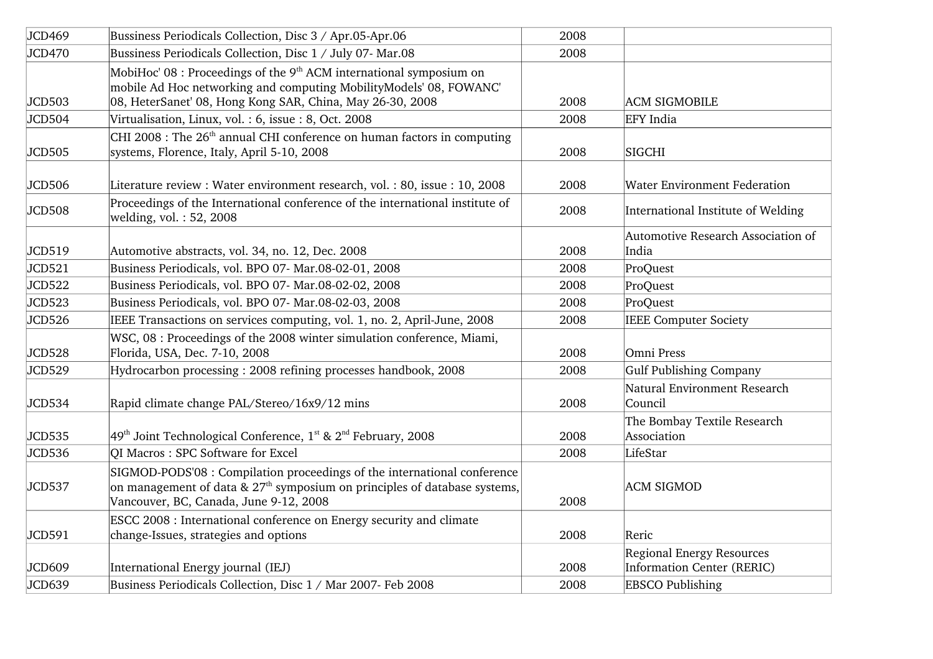| JCD469 | Bussiness Periodicals Collection, Disc 3 / Apr.05-Apr.06                                                                                                                                                   | 2008 |                                                                       |
|--------|------------------------------------------------------------------------------------------------------------------------------------------------------------------------------------------------------------|------|-----------------------------------------------------------------------|
| JCD470 | Bussiness Periodicals Collection, Disc 1 / July 07- Mar.08                                                                                                                                                 | 2008 |                                                                       |
| JCD503 | MobiHoc' $08$ : Proceedings of the $9th$ ACM international symposium on<br>mobile Ad Hoc networking and computing MobilityModels' 08, FOWANC'<br>08, HeterSanet' 08, Hong Kong SAR, China, May 26-30, 2008 | 2008 | <b>ACM SIGMOBILE</b>                                                  |
| JCD504 | Virtualisation, Linux, vol.: 6, issue: 8, Oct. 2008                                                                                                                                                        | 2008 | <b>EFY</b> India                                                      |
| JCD505 | CHI 2008 : The 26 <sup>th</sup> annual CHI conference on human factors in computing<br>systems, Florence, Italy, April 5-10, 2008                                                                          | 2008 | <b>SIGCHI</b>                                                         |
| JCD506 | Literature review : Water environment research, vol. : 80, issue : 10, 2008                                                                                                                                | 2008 | <b>Water Environment Federation</b>                                   |
| JCD508 | Proceedings of the International conference of the international institute of<br>welding, vol.: 52, 2008                                                                                                   | 2008 | International Institute of Welding                                    |
| JCD519 | Automotive abstracts, vol. 34, no. 12, Dec. 2008                                                                                                                                                           | 2008 | Automotive Research Association of<br>India                           |
| JCD521 | Business Periodicals, vol. BPO 07- Mar.08-02-01, 2008                                                                                                                                                      | 2008 | ProQuest                                                              |
| JCD522 | Business Periodicals, vol. BPO 07- Mar.08-02-02, 2008                                                                                                                                                      | 2008 | ProQuest                                                              |
| JCD523 | Business Periodicals, vol. BPO 07- Mar.08-02-03, 2008                                                                                                                                                      | 2008 | ProQuest                                                              |
| JCD526 | IEEE Transactions on services computing, vol. 1, no. 2, April-June, 2008                                                                                                                                   | 2008 | <b>IEEE Computer Society</b>                                          |
| JCD528 | WSC, 08 : Proceedings of the 2008 winter simulation conference, Miami,<br>Florida, USA, Dec. 7-10, 2008                                                                                                    | 2008 | Omni Press                                                            |
| JCD529 | Hydrocarbon processing: 2008 refining processes handbook, 2008                                                                                                                                             | 2008 | Gulf Publishing Company                                               |
| JCD534 | Rapid climate change PAL/Stereo/16x9/12 mins                                                                                                                                                               | 2008 | Natural Environment Research<br>Council                               |
| JCD535 | $49th$ Joint Technological Conference, 1 <sup>st</sup> & 2 <sup>nd</sup> February, 2008                                                                                                                    | 2008 | The Bombay Textile Research<br>Association                            |
| JCD536 | QI Macros: SPC Software for Excel                                                                                                                                                                          | 2008 | LifeStar                                                              |
| JCD537 | SIGMOD-PODS'08 : Compilation proceedings of the international conference<br>on management of data & $27th$ symposium on principles of database systems,<br>Vancouver, BC, Canada, June 9-12, 2008          | 2008 | <b>ACM SIGMOD</b>                                                     |
| JCD591 | ESCC 2008 : International conference on Energy security and climate<br>change-Issues, strategies and options                                                                                               | 2008 | Reric                                                                 |
| JCD609 | International Energy journal (IEJ)                                                                                                                                                                         | 2008 | <b>Regional Energy Resources</b><br><b>Information Center (RERIC)</b> |
| JCD639 | Business Periodicals Collection, Disc 1 / Mar 2007- Feb 2008                                                                                                                                               | 2008 | <b>EBSCO Publishing</b>                                               |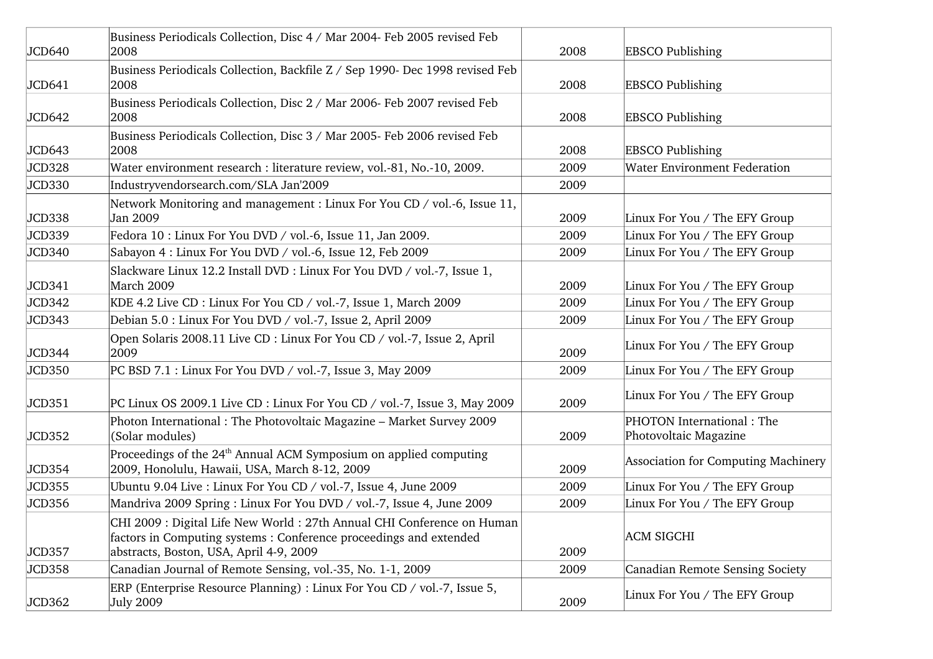| JCD640 | Business Periodicals Collection, Disc 4 / Mar 2004- Feb 2005 revised Feb<br>2008                                                                                                        | 2008 | <b>EBSCO Publishing</b>                            |
|--------|-----------------------------------------------------------------------------------------------------------------------------------------------------------------------------------------|------|----------------------------------------------------|
| JCD641 | Business Periodicals Collection, Backfile Z / Sep 1990- Dec 1998 revised Feb<br>2008                                                                                                    | 2008 | <b>EBSCO Publishing</b>                            |
| JCD642 | Business Periodicals Collection, Disc 2 / Mar 2006- Feb 2007 revised Feb<br>2008                                                                                                        | 2008 | <b>EBSCO Publishing</b>                            |
| JCD643 | Business Periodicals Collection, Disc 3 / Mar 2005- Feb 2006 revised Feb<br>2008                                                                                                        | 2008 | <b>EBSCO Publishing</b>                            |
| JCD328 | Water environment research : literature review, vol.-81, No.-10, 2009.                                                                                                                  | 2009 | <b>Water Environment Federation</b>                |
| JCD330 | Industryvendorsearch.com/SLA Jan'2009                                                                                                                                                   | 2009 |                                                    |
| JCD338 | Network Monitoring and management : Linux For You CD / vol.-6, Issue 11,<br>Jan 2009                                                                                                    | 2009 | Linux For You / The EFY Group                      |
| JCD339 | Fedora 10 : Linux For You DVD / vol.-6, Issue 11, Jan 2009.                                                                                                                             | 2009 | Linux For You / The EFY Group                      |
| JCD340 | Sabayon 4 : Linux For You DVD / vol.-6, Issue 12, Feb 2009                                                                                                                              | 2009 | Linux For You / The EFY Group                      |
| JCD341 | Slackware Linux 12.2 Install DVD : Linux For You DVD / vol.-7, Issue 1,<br>March 2009                                                                                                   | 2009 | Linux For You / The EFY Group                      |
| JCD342 | KDE 4.2 Live CD : Linux For You CD / vol.-7, Issue 1, March 2009                                                                                                                        | 2009 | Linux For You / The EFY Group                      |
| JCD343 | Debian 5.0 : Linux For You DVD / vol.-7, Issue 2, April 2009                                                                                                                            | 2009 | Linux For You / The EFY Group                      |
| JCD344 | Open Solaris 2008.11 Live CD : Linux For You CD / vol.-7, Issue 2, April<br>2009                                                                                                        | 2009 | Linux For You / The EFY Group                      |
| JCD350 | PC BSD 7.1 : Linux For You DVD / vol.-7, Issue 3, May 2009                                                                                                                              | 2009 | Linux For You / The EFY Group                      |
| JCD351 | PC Linux OS 2009.1 Live CD : Linux For You CD / vol.-7, Issue 3, May 2009                                                                                                               | 2009 | Linux For You / The EFY Group                      |
| JCD352 | Photon International: The Photovoltaic Magazine - Market Survey 2009<br>(Solar modules)                                                                                                 | 2009 | PHOTON International: The<br>Photovoltaic Magazine |
| JCD354 | Proceedings of the 24 <sup>th</sup> Annual ACM Symposium on applied computing<br>2009, Honolulu, Hawaii, USA, March 8-12, 2009                                                          | 2009 | Association for Computing Machinery                |
| JCD355 | Ubuntu 9.04 Live : Linux For You CD / vol.-7, Issue 4, June 2009                                                                                                                        | 2009 | Linux For You / The EFY Group                      |
| JCD356 | Mandriva 2009 Spring: Linux For You DVD / vol.-7, Issue 4, June 2009                                                                                                                    | 2009 | Linux For You / The EFY Group                      |
| JCD357 | CHI 2009 : Digital Life New World : 27th Annual CHI Conference on Human<br>factors in Computing systems: Conference proceedings and extended<br>abstracts, Boston, USA, April 4-9, 2009 | 2009 | <b>ACM SIGCHI</b>                                  |
| JCD358 | Canadian Journal of Remote Sensing, vol.-35, No. 1-1, 2009                                                                                                                              | 2009 | Canadian Remote Sensing Society                    |
| JCD362 | ERP (Enterprise Resource Planning) : Linux For You CD / vol.-7, Issue 5,<br><b>July 2009</b>                                                                                            | 2009 | Linux For You / The EFY Group                      |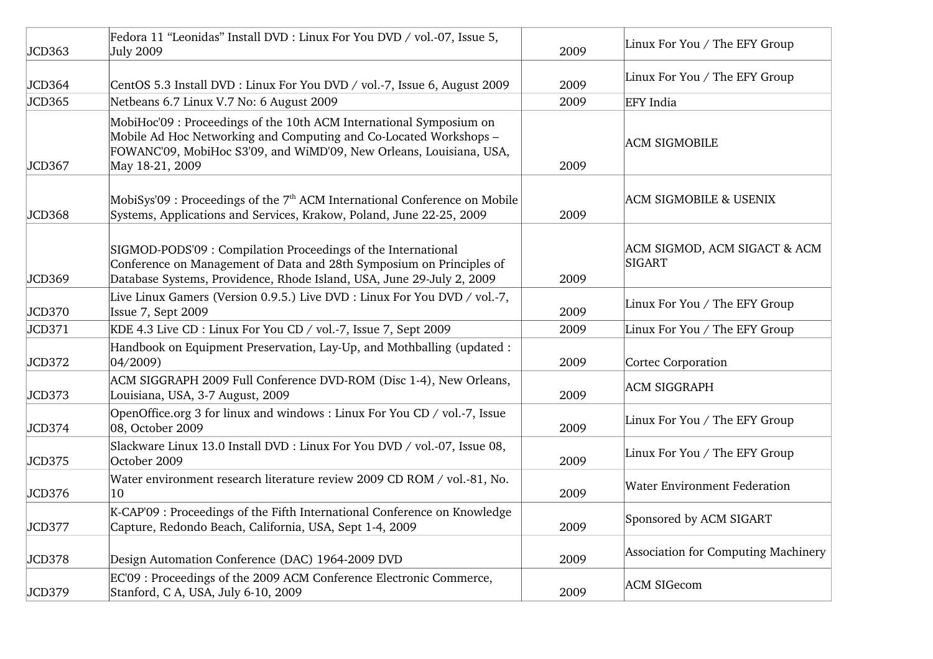| JCD363 | Fedora 11 "Leonidas" Install DVD : Linux For You DVD / vol.-07, Issue 5,<br><b>July 2009</b>                                                                                                                                       | 2009 | Linux For You / The EFY Group          |
|--------|------------------------------------------------------------------------------------------------------------------------------------------------------------------------------------------------------------------------------------|------|----------------------------------------|
| JCD364 | CentOS 5.3 Install DVD : Linux For You DVD / vol.-7, Issue 6, August 2009                                                                                                                                                          | 2009 | Linux For You / The EFY Group          |
| JCD365 | Netbeans 6.7 Linux V.7 No: 6 August 2009                                                                                                                                                                                           | 2009 | EFY India                              |
| JCD367 | MobiHoc'09 : Proceedings of the 10th ACM International Symposium on<br>Mobile Ad Hoc Networking and Computing and Co-Located Workshops –<br>FOWANC'09, MobiHoc S3'09, and WiMD'09, New Orleans, Louisiana, USA,<br>May 18-21, 2009 | 2009 | <b>ACM SIGMOBILE</b>                   |
| JCD368 | MobiSys'09 : Proceedings of the $7th$ ACM International Conference on Mobile<br>Systems, Applications and Services, Krakow, Poland, June 22-25, 2009                                                                               | 2009 | <b>ACM SIGMOBILE &amp; USENIX</b>      |
| JCD369 | SIGMOD-PODS'09 : Compilation Proceedings of the International<br>Conference on Management of Data and 28th Symposium on Principles of<br>Database Systems, Providence, Rhode Island, USA, June 29-July 2, 2009                     | 2009 | ACM SIGMOD, ACM SIGACT & ACM<br>SIGART |
| JCD370 | Live Linux Gamers (Version 0.9.5.) Live DVD : Linux For You DVD / vol.-7,<br>Issue 7, Sept 2009                                                                                                                                    | 2009 | Linux For You / The EFY Group          |
| JCD371 | KDE 4.3 Live CD : Linux For You CD / vol.-7, Issue 7, Sept 2009                                                                                                                                                                    | 2009 | Linux For You / The EFY Group          |
| JCD372 | Handbook on Equipment Preservation, Lay-Up, and Mothballing (updated :<br>$ 04/2009\rangle$                                                                                                                                        | 2009 | Cortec Corporation                     |
| JCD373 | ACM SIGGRAPH 2009 Full Conference DVD-ROM (Disc 1-4), New Orleans,<br>Louisiana, USA, 3-7 August, 2009                                                                                                                             | 2009 | <b>ACM SIGGRAPH</b>                    |
| JCD374 | OpenOffice.org 3 for linux and windows : Linux For You CD / vol.-7, Issue<br>08, October 2009                                                                                                                                      | 2009 | Linux For You / The EFY Group          |
| JCD375 | Slackware Linux 13.0 Install DVD : Linux For You DVD / vol.-07, Issue 08,<br>October 2009                                                                                                                                          | 2009 | Linux For You / The EFY Group          |
| JCD376 | Water environment research literature review 2009 CD ROM / vol.-81, No.<br>10                                                                                                                                                      | 2009 | <b>Water Environment Federation</b>    |
| JCD377 | K-CAP'09 : Proceedings of the Fifth International Conference on Knowledge<br>Capture, Redondo Beach, California, USA, Sept 1-4, 2009                                                                                               | 2009 | Sponsored by ACM SIGART                |
| JCD378 | Design Automation Conference (DAC) 1964-2009 DVD                                                                                                                                                                                   | 2009 | Association for Computing Machinery    |
| JCD379 | EC'09 : Proceedings of the 2009 ACM Conference Electronic Commerce,<br>Stanford, C A, USA, July 6-10, 2009                                                                                                                         | 2009 | <b>ACM SIGecom</b>                     |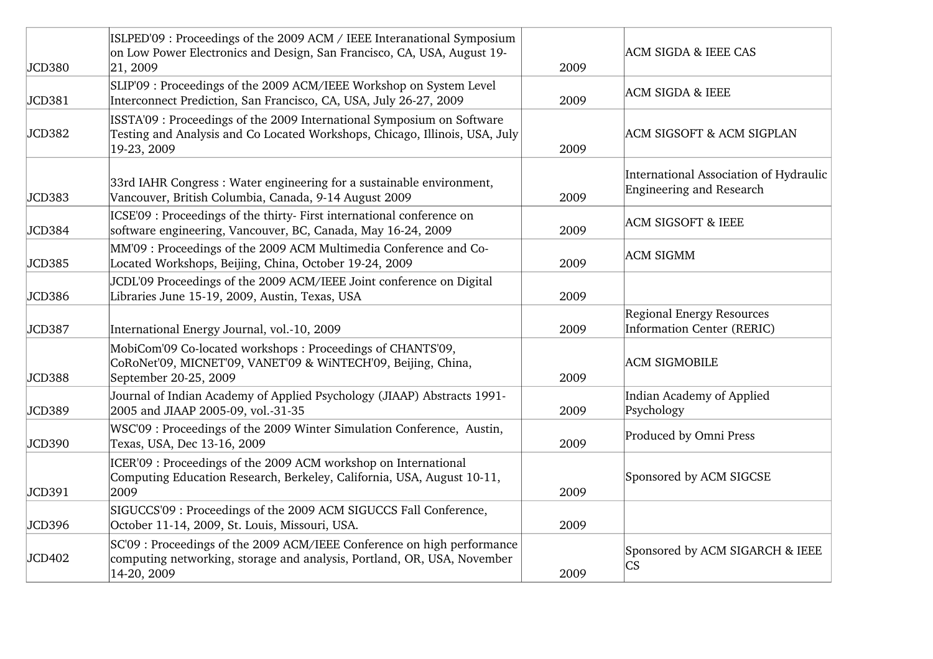| JCD380 | ISLPED'09 : Proceedings of the 2009 ACM / IEEE Interanational Symposium<br>on Low Power Electronics and Design, San Francisco, CA, USA, August 19-<br> 21, 2009      | 2009 | <b>ACM SIGDA &amp; IEEE CAS</b>                                    |
|--------|----------------------------------------------------------------------------------------------------------------------------------------------------------------------|------|--------------------------------------------------------------------|
| JCD381 | SLIP'09 : Proceedings of the 2009 ACM/IEEE Workshop on System Level<br>Interconnect Prediction, San Francisco, CA, USA, July 26-27, 2009                             | 2009 | <b>ACM SIGDA &amp; IEEE</b>                                        |
| JCD382 | ISSTA'09 : Proceedings of the 2009 International Symposium on Software<br>Testing and Analysis and Co Located Workshops, Chicago, Illinois, USA, July<br>19-23, 2009 | 2009 | <b>ACM SIGSOFT &amp; ACM SIGPLAN</b>                               |
| JCD383 | 33rd IAHR Congress: Water engineering for a sustainable environment,<br>Vancouver, British Columbia, Canada, 9-14 August 2009                                        | 2009 | International Association of Hydraulic<br>Engineering and Research |
| JCD384 | ICSE'09 : Proceedings of the thirty- First international conference on<br>software engineering, Vancouver, BC, Canada, May 16-24, 2009                               | 2009 | <b>ACM SIGSOFT &amp; IEEE</b>                                      |
| JCD385 | MM'09 : Proceedings of the 2009 ACM Multimedia Conference and Co-<br>Located Workshops, Beijing, China, October 19-24, 2009                                          | 2009 | <b>ACM SIGMM</b>                                                   |
| JCD386 | JCDL'09 Proceedings of the 2009 ACM/IEEE Joint conference on Digital<br>Libraries June 15-19, 2009, Austin, Texas, USA                                               | 2009 |                                                                    |
| JCD387 | International Energy Journal, vol.-10, 2009                                                                                                                          | 2009 | <b>Regional Energy Resources</b><br>Information Center (RERIC)     |
| JCD388 | MobiCom'09 Co-located workshops: Proceedings of CHANTS'09,<br>CoRoNet'09, MICNET'09, VANET'09 & WiNTECH'09, Beijing, China,<br>September 20-25, 2009                 | 2009 | <b>ACM SIGMOBILE</b>                                               |
| JCD389 | Journal of Indian Academy of Applied Psychology (JIAAP) Abstracts 1991-<br>2005 and JIAAP 2005-09, vol.-31-35                                                        | 2009 | Indian Academy of Applied<br>Psychology                            |
| JCD390 | WSC'09 : Proceedings of the 2009 Winter Simulation Conference, Austin,<br>Texas, USA, Dec 13-16, 2009                                                                | 2009 | Produced by Omni Press                                             |
| JCD391 | ICER'09 : Proceedings of the 2009 ACM workshop on International<br>Computing Education Research, Berkeley, California, USA, August 10-11,<br>2009                    | 2009 | Sponsored by ACM SIGCSE                                            |
| JCD396 | SIGUCCS'09 : Proceedings of the 2009 ACM SIGUCCS Fall Conference,<br>October 11-14, 2009, St. Louis, Missouri, USA.                                                  | 2009 |                                                                    |
| JCD402 | SC'09 : Proceedings of the 2009 ACM/IEEE Conference on high performance<br>computing networking, storage and analysis, Portland, OR, USA, November<br>14-20, 2009    | 2009 | Sponsored by ACM SIGARCH & IEEE<br>$\overline{\text{CS}}$          |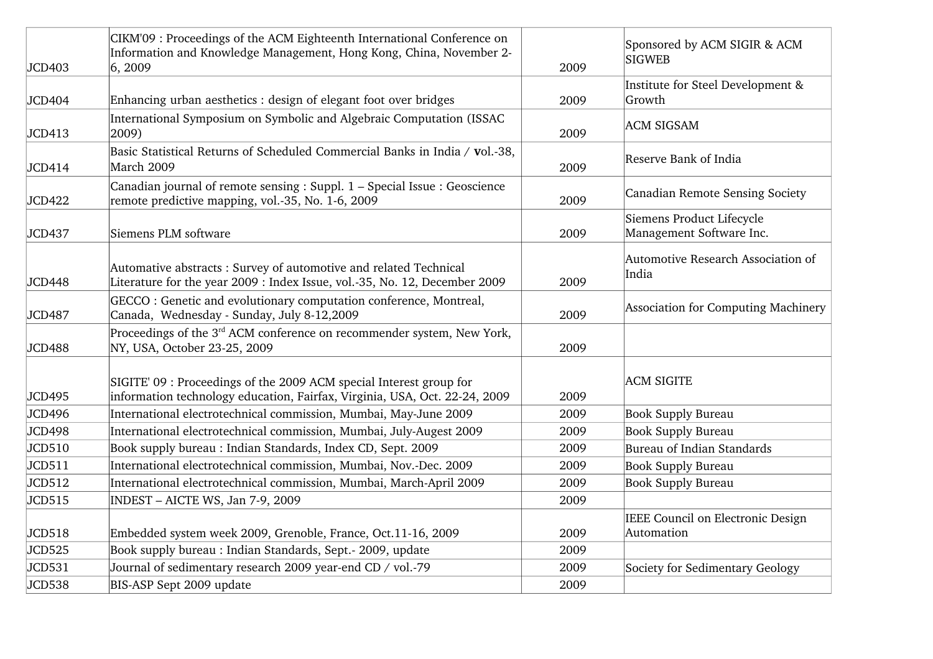| JCD403 | CIKM'09 : Proceedings of the ACM Eighteenth International Conference on<br>Information and Knowledge Management, Hong Kong, China, November 2-<br> 6, 2009 | 2009 | Sponsored by ACM SIGIR & ACM<br><b>SIGWEB</b>         |
|--------|------------------------------------------------------------------------------------------------------------------------------------------------------------|------|-------------------------------------------------------|
| JCD404 | Enhancing urban aesthetics : design of elegant foot over bridges                                                                                           | 2009 | Institute for Steel Development &<br>Growth           |
| JCD413 | International Symposium on Symbolic and Algebraic Computation (ISSAC<br>2009)                                                                              | 2009 | <b>ACM SIGSAM</b>                                     |
| JCD414 | Basic Statistical Returns of Scheduled Commercial Banks in India / vol.-38,<br>March 2009                                                                  | 2009 | <b>Reserve Bank of India</b>                          |
| JCD422 | Canadian journal of remote sensing : Suppl. 1 - Special Issue : Geoscience<br>remote predictive mapping, vol.-35, No. 1-6, 2009                            | 2009 | Canadian Remote Sensing Society                       |
| JCD437 | Siemens PLM software                                                                                                                                       | 2009 | Siemens Product Lifecycle<br>Management Software Inc. |
| JCD448 | Automative abstracts: Survey of automotive and related Technical<br>Literature for the year 2009 : Index Issue, vol.-35, No. 12, December 2009             | 2009 | Automotive Research Association of<br>India           |
| JCD487 | GECCO: Genetic and evolutionary computation conference, Montreal,<br>Canada, Wednesday - Sunday, July 8-12,2009                                            | 2009 | Association for Computing Machinery                   |
| JCD488 | Proceedings of the 3 <sup>rd</sup> ACM conference on recommender system, New York,<br>NY, USA, October 23-25, 2009                                         | 2009 |                                                       |
| JCD495 | SIGITE' 09 : Proceedings of the 2009 ACM special Interest group for<br>information technology education, Fairfax, Virginia, USA, Oct. 22-24, 2009          | 2009 | <b>ACM SIGITE</b>                                     |
| JCD496 | International electrotechnical commission, Mumbai, May-June 2009                                                                                           | 2009 | <b>Book Supply Bureau</b>                             |
| JCD498 | International electrotechnical commission, Mumbai, July-Augest 2009                                                                                        | 2009 | <b>Book Supply Bureau</b>                             |
| JCD510 | Book supply bureau : Indian Standards, Index CD, Sept. 2009                                                                                                | 2009 | Bureau of Indian Standards                            |
| JCD511 | International electrotechnical commission, Mumbai, Nov.-Dec. 2009                                                                                          | 2009 | <b>Book Supply Bureau</b>                             |
| JCD512 | International electrotechnical commission, Mumbai, March-April 2009                                                                                        | 2009 | <b>Book Supply Bureau</b>                             |
| JCD515 | INDEST - AICTE WS, Jan 7-9, 2009                                                                                                                           | 2009 |                                                       |
| JCD518 | Embedded system week 2009, Grenoble, France, Oct.11-16, 2009                                                                                               | 2009 | IEEE Council on Electronic Design<br>Automation       |
| JCD525 | Book supply bureau: Indian Standards, Sept.- 2009, update                                                                                                  | 2009 |                                                       |
| JCD531 | Journal of sedimentary research 2009 year-end CD / vol.-79                                                                                                 | 2009 | Society for Sedimentary Geology                       |
| JCD538 | BIS-ASP Sept 2009 update                                                                                                                                   | 2009 |                                                       |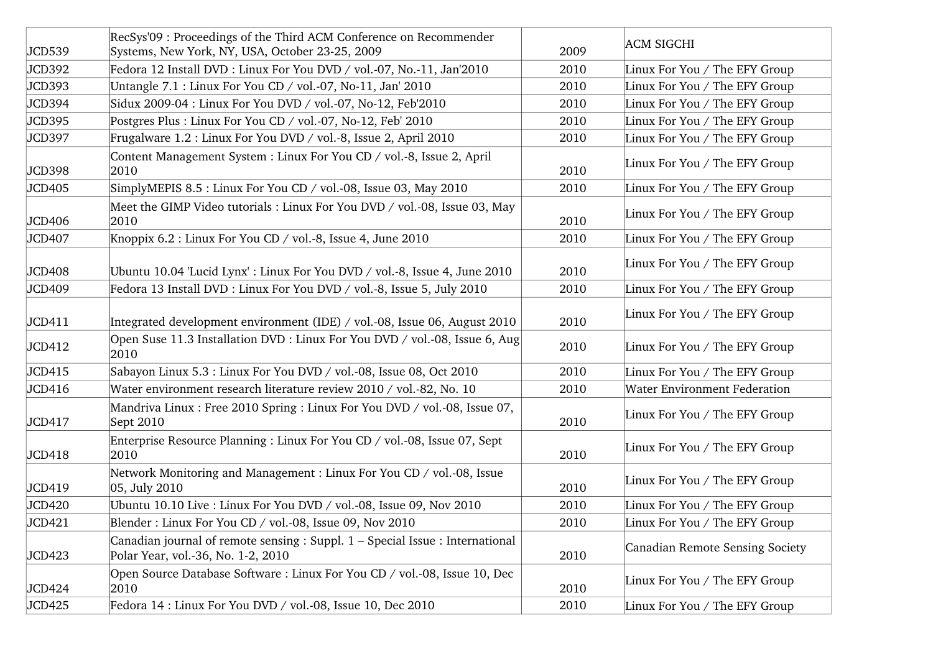| JCD539 | RecSys'09 : Proceedings of the Third ACM Conference on Recommender<br>Systems, New York, NY, USA, October 23-25, 2009 | 2009 | <b>ACM SIGCHI</b>                   |
|--------|-----------------------------------------------------------------------------------------------------------------------|------|-------------------------------------|
| JCD392 | Fedora 12 Install DVD : Linux For You DVD / vol.-07, No.-11, Jan'2010                                                 | 2010 | Linux For You / The EFY Group       |
| JCD393 | Untangle 7.1 : Linux For You CD / vol.-07, No-11, Jan' 2010                                                           | 2010 | Linux For You / The EFY Group       |
| JCD394 | Sidux 2009-04 : Linux For You DVD / vol.-07, No-12, Feb'2010                                                          | 2010 | Linux For You / The EFY Group       |
| JCD395 | Postgres Plus : Linux For You CD / vol.-07, No-12, Feb' 2010                                                          | 2010 | Linux For You / The EFY Group       |
| JCD397 | Frugalware 1.2 : Linux For You DVD / vol.-8, Issue 2, April 2010                                                      | 2010 | Linux For You / The EFY Group       |
| JCD398 | Content Management System : Linux For You CD / vol.-8, Issue 2, April<br>2010                                         | 2010 | Linux For You / The EFY Group       |
| JCD405 | SimplyMEPIS 8.5 : Linux For You CD / vol.-08, Issue 03, May 2010                                                      | 2010 | Linux For You / The EFY Group       |
| JCD406 | Meet the GIMP Video tutorials : Linux For You DVD / vol.-08, Issue 03, May<br>2010                                    | 2010 | Linux For You / The EFY Group       |
| JCD407 | Knoppix 6.2 : Linux For You CD / vol.-8, Issue 4, June 2010                                                           | 2010 | Linux For You / The EFY Group       |
| JCD408 | Ubuntu 10.04 'Lucid Lynx': Linux For You DVD / vol.-8, Issue 4, June 2010                                             | 2010 | Linux For You / The EFY Group       |
| JCD409 | Fedora 13 Install DVD : Linux For You DVD / vol.-8, Issue 5, July 2010                                                | 2010 | Linux For You / The EFY Group       |
| JCD411 | Integrated development environment (IDE) / vol.-08, Issue 06, August 2010                                             | 2010 | Linux For You / The EFY Group       |
| JCD412 | Open Suse 11.3 Installation DVD : Linux For You DVD / vol.-08, Issue 6, Aug<br>2010                                   | 2010 | Linux For You / The EFY Group       |
| JCD415 | Sabayon Linux 5.3 : Linux For You DVD / vol.-08, Issue 08, Oct 2010                                                   | 2010 | Linux For You / The EFY Group       |
| JCD416 | Water environment research literature review 2010 / vol.-82, No. 10                                                   | 2010 | <b>Water Environment Federation</b> |
| JCD417 | Mandriva Linux : Free 2010 Spring : Linux For You DVD / vol.-08, Issue 07,<br>Sept 2010                               | 2010 | Linux For You / The EFY Group       |
| JCD418 | Enterprise Resource Planning : Linux For You CD / vol.-08, Issue 07, Sept<br>2010                                     | 2010 | Linux For You / The EFY Group       |
| JCD419 | Network Monitoring and Management : Linux For You CD / vol.-08, Issue<br>$ 05, \text{July } 2010$                     | 2010 | Linux For You / The EFY Group       |
| JCD420 | Ubuntu 10.10 Live : Linux For You DVD / vol.-08, Issue 09, Nov 2010                                                   | 2010 | Linux For You / The EFY Group       |
| JCD421 | Blender: Linux For You CD / vol.-08, Issue 09, Nov 2010                                                               | 2010 | Linux For You / The EFY Group       |
| JCD423 | Canadian journal of remote sensing : Suppl. 1 - Special Issue : International<br>Polar Year, vol.-36, No. 1-2, 2010   | 2010 | Canadian Remote Sensing Society     |
| JCD424 | Open Source Database Software: Linux For You CD / vol.-08, Issue 10, Dec<br>2010                                      | 2010 | Linux For You / The EFY Group       |
| JCD425 | Fedora 14 : Linux For You DVD / vol.-08, Issue 10, Dec 2010                                                           | 2010 | Linux For You / The EFY Group       |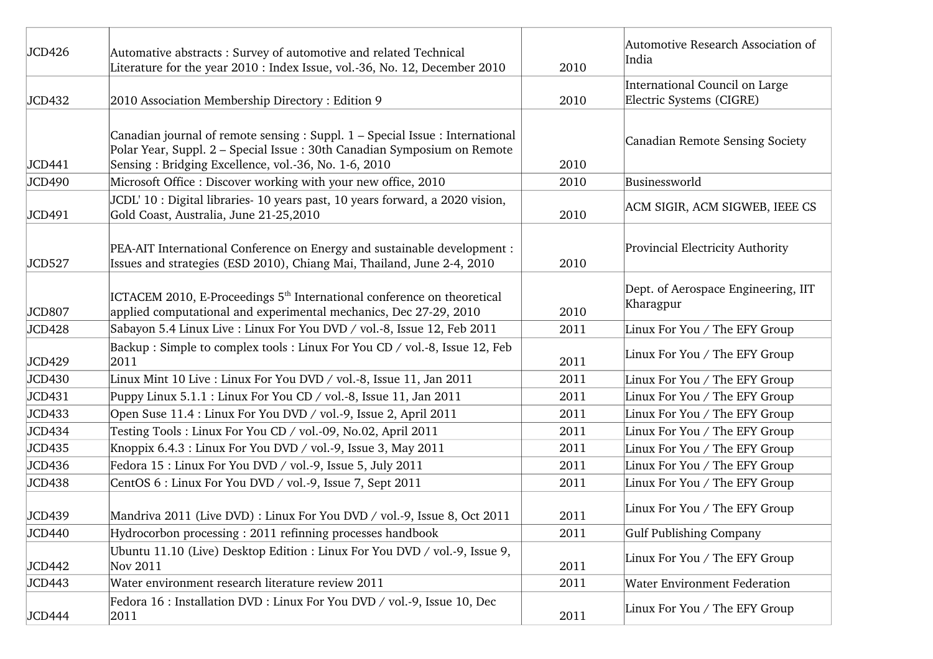| JCD426 | Automative abstracts: Survey of automotive and related Technical<br>Literature for the year 2010 : Index Issue, vol.-36, No. 12, December 2010                                                                   | 2010 | Automotive Research Association of<br>India                |
|--------|------------------------------------------------------------------------------------------------------------------------------------------------------------------------------------------------------------------|------|------------------------------------------------------------|
| JCD432 | 2010 Association Membership Directory: Edition 9                                                                                                                                                                 | 2010 | International Council on Large<br>Electric Systems (CIGRE) |
| JCD441 | Canadian journal of remote sensing : Suppl. 1 – Special Issue : International<br>Polar Year, Suppl. 2 – Special Issue: 30th Canadian Symposium on Remote<br>Sensing: Bridging Excellence, vol.-36, No. 1-6, 2010 | 2010 | Canadian Remote Sensing Society                            |
| JCD490 | Microsoft Office: Discover working with your new office, 2010                                                                                                                                                    | 2010 | Businessworld                                              |
| JCD491 | JCDL' 10 : Digital libraries- 10 years past, 10 years forward, a 2020 vision,<br>Gold Coast, Australia, June 21-25,2010                                                                                          | 2010 | ACM SIGIR, ACM SIGWEB, IEEE CS                             |
| JCD527 | PEA-AIT International Conference on Energy and sustainable development :<br>Issues and strategies (ESD 2010), Chiang Mai, Thailand, June 2-4, 2010                                                               | 2010 | Provincial Electricity Authority                           |
| JCD807 | ICTACEM 2010, E-Proceedings 5 <sup>th</sup> International conference on theoretical<br>applied computational and experimental mechanics, Dec 27-29, 2010                                                         | 2010 | Dept. of Aerospace Engineering, IIT<br>Kharagpur           |
| JCD428 | Sabayon 5.4 Linux Live : Linux For You DVD / vol.-8, Issue 12, Feb 2011                                                                                                                                          | 2011 | Linux For You / The EFY Group                              |
| JCD429 | Backup: Simple to complex tools: Linux For You CD / vol.-8, Issue 12, Feb<br>2011                                                                                                                                | 2011 | Linux For You / The EFY Group                              |
| JCD430 | Linux Mint 10 Live: Linux For You DVD / vol.-8, Issue 11, Jan 2011                                                                                                                                               | 2011 | Linux For You / The EFY Group                              |
| JCD431 | Puppy Linux 5.1.1 : Linux For You CD / vol.-8, Issue 11, Jan 2011                                                                                                                                                | 2011 | Linux For You / The EFY Group                              |
| JCD433 | Open Suse 11.4 : Linux For You DVD / vol.-9, Issue 2, April 2011                                                                                                                                                 | 2011 | Linux For You / The EFY Group                              |
| JCD434 | Testing Tools: Linux For You CD / vol.-09, No.02, April 2011                                                                                                                                                     | 2011 | Linux For You / The EFY Group                              |
| JCD435 | Knoppix 6.4.3 : Linux For You DVD / vol.-9, Issue 3, May 2011                                                                                                                                                    | 2011 | Linux For You / The EFY Group                              |
| JCD436 | Fedora 15 : Linux For You DVD / vol.-9, Issue 5, July 2011                                                                                                                                                       | 2011 | Linux For You / The EFY Group                              |
| JCD438 | CentOS 6 : Linux For You DVD / vol.-9, Issue 7, Sept 2011                                                                                                                                                        | 2011 | Linux For You / The EFY Group                              |
| JCD439 | Mandriva 2011 (Live DVD) : Linux For You DVD / vol.-9, Issue 8, Oct 2011                                                                                                                                         | 2011 | Linux For You / The EFY Group                              |
| JCD440 | Hydrocorbon processing: 2011 refinning processes handbook                                                                                                                                                        | 2011 | Gulf Publishing Company                                    |
| JCD442 | Ubuntu 11.10 (Live) Desktop Edition : Linux For You DVD / vol.-9, Issue 9,<br>Nov 2011                                                                                                                           | 2011 | Linux For You / The EFY Group                              |
| JCD443 | Water environment research literature review 2011                                                                                                                                                                | 2011 | <b>Water Environment Federation</b>                        |
| JCD444 | Fedora 16 : Installation DVD : Linux For You DVD / vol.-9, Issue 10, Dec<br>2011                                                                                                                                 | 2011 | Linux For You / The EFY Group                              |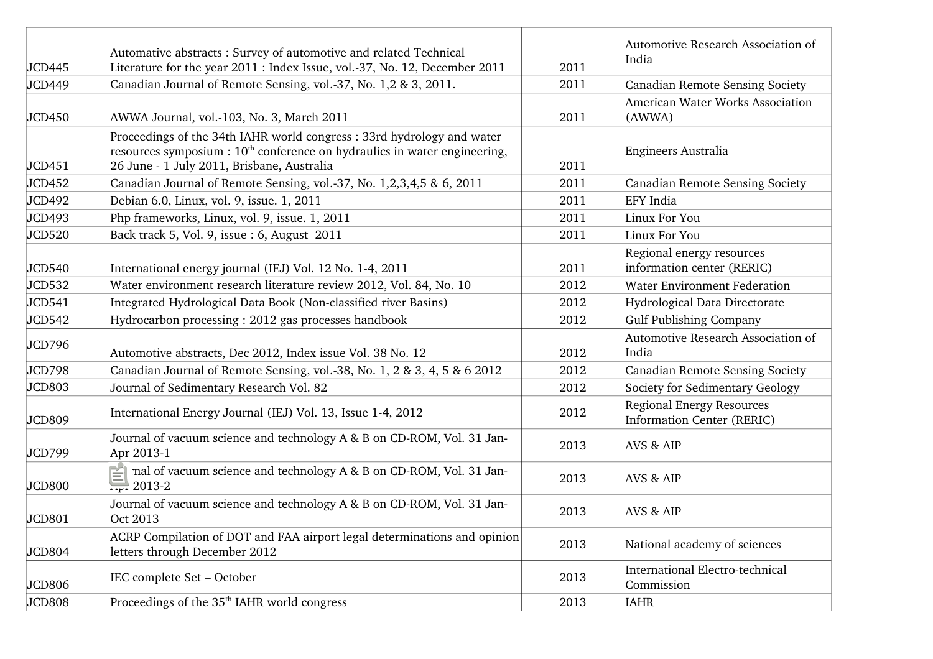| JCD445 | Automative abstracts: Survey of automotive and related Technical<br>Literature for the year 2011 : Index Issue, vol.-37, No. 12, December 2011                                                     | 2011 | Automotive Research Association of<br>India                    |
|--------|----------------------------------------------------------------------------------------------------------------------------------------------------------------------------------------------------|------|----------------------------------------------------------------|
| JCD449 | Canadian Journal of Remote Sensing, vol.-37, No. 1,2 & 3, 2011.                                                                                                                                    | 2011 | Canadian Remote Sensing Society                                |
| JCD450 | AWWA Journal, vol.-103, No. 3, March 2011                                                                                                                                                          | 2011 | American Water Works Association<br>(AWWA)                     |
| JCD451 | Proceedings of the 34th IAHR world congress: 33rd hydrology and water<br>resources symposium : $10th$ conference on hydraulics in water engineering,<br>26 June - 1 July 2011, Brisbane, Australia | 2011 | Engineers Australia                                            |
| JCD452 | Canadian Journal of Remote Sensing, vol.-37, No. 1,2,3,4,5 & 6, 2011                                                                                                                               | 2011 | Canadian Remote Sensing Society                                |
| JCD492 | Debian 6.0, Linux, vol. 9, issue. 1, 2011                                                                                                                                                          | 2011 | <b>EFY</b> India                                               |
| JCD493 | Php frameworks, Linux, vol. 9, issue. 1, 2011                                                                                                                                                      | 2011 | Linux For You                                                  |
| JCD520 | Back track 5, Vol. 9, issue : 6, August 2011                                                                                                                                                       | 2011 | Linux For You                                                  |
| JCD540 | International energy journal (IEJ) Vol. 12 No. 1-4, 2011                                                                                                                                           | 2011 | Regional energy resources<br>information center (RERIC)        |
| JCD532 | Water environment research literature review 2012, Vol. 84, No. 10                                                                                                                                 | 2012 | <b>Water Environment Federation</b>                            |
| JCD541 | Integrated Hydrological Data Book (Non-classified river Basins)                                                                                                                                    | 2012 | Hydrological Data Directorate                                  |
| JCD542 | Hydrocarbon processing: 2012 gas processes handbook                                                                                                                                                | 2012 | Gulf Publishing Company                                        |
| JCD796 | Automotive abstracts, Dec 2012, Index issue Vol. 38 No. 12                                                                                                                                         | 2012 | Automotive Research Association of<br>India                    |
| JCD798 | Canadian Journal of Remote Sensing, vol.-38, No. 1, 2 & 3, 4, 5 & 6 2012                                                                                                                           | 2012 | Canadian Remote Sensing Society                                |
| JCD803 | Journal of Sedimentary Research Vol. 82                                                                                                                                                            | 2012 | Society for Sedimentary Geology                                |
| JCD809 | International Energy Journal (IEJ) Vol. 13, Issue 1-4, 2012                                                                                                                                        | 2012 | Regional Energy Resources<br><b>Information Center (RERIC)</b> |
| JCD799 | Journal of vacuum science and technology A & B on CD-ROM, Vol. 31 Jan-<br>Apr 2013-1                                                                                                               | 2013 | <b>AVS &amp; AIP</b>                                           |
| JCD800 | Journal of vacuum science and technology A & B on CD-ROM, Vol. 31 Jan-<br>Apr 2013-2                                                                                                               | 2013 | <b>AVS &amp; AIP</b>                                           |
| JCD801 | Journal of vacuum science and technology A & B on CD-ROM, Vol. 31 Jan-<br>Oct 2013                                                                                                                 | 2013 | <b>AVS &amp; AIP</b>                                           |
| JCD804 | ACRP Compilation of DOT and FAA airport legal determinations and opinion<br>letters through December 2012                                                                                          | 2013 | National academy of sciences                                   |
| JCD806 | IEC complete Set - October                                                                                                                                                                         | 2013 | International Electro-technical<br>Commission                  |
| JCD808 | Proceedings of the 35 <sup>th</sup> IAHR world congress                                                                                                                                            | 2013 | <b>IAHR</b>                                                    |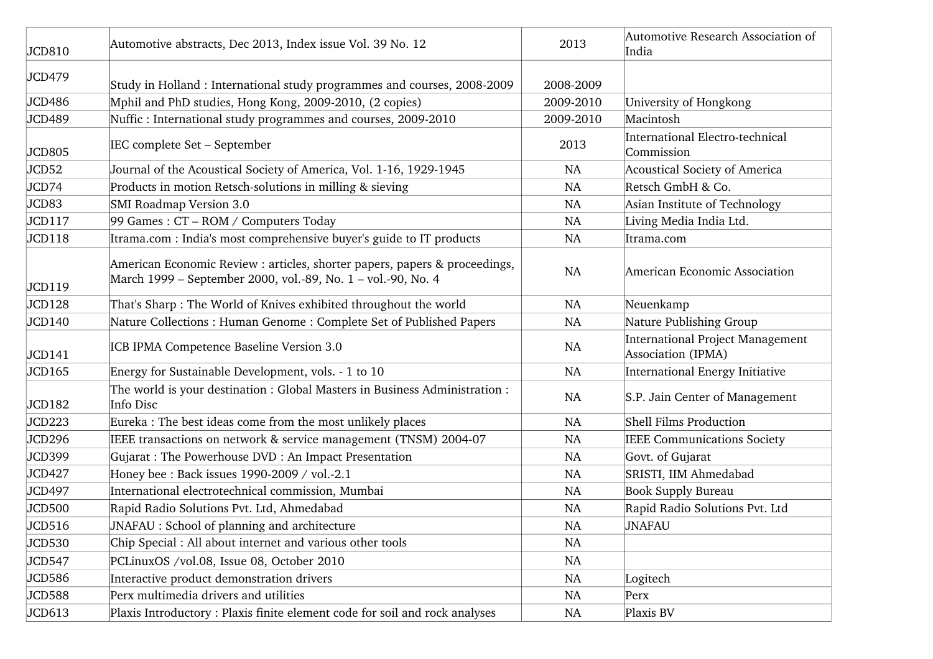| JCD810        | Automotive abstracts, Dec 2013, Index issue Vol. 39 No. 12                                                                                 | 2013      | Automotive Research Association of<br>India                   |
|---------------|--------------------------------------------------------------------------------------------------------------------------------------------|-----------|---------------------------------------------------------------|
| JCD479        |                                                                                                                                            |           |                                                               |
|               | Study in Holland : International study programmes and courses, 2008-2009                                                                   | 2008-2009 |                                                               |
| JCD486        | Mphil and PhD studies, Hong Kong, 2009-2010, (2 copies)                                                                                    | 2009-2010 | University of Hongkong                                        |
| JCD489        | Nuffic: International study programmes and courses, 2009-2010                                                                              | 2009-2010 | Macintosh                                                     |
| <b>JCD805</b> | IEC complete Set - September                                                                                                               | 2013      | <b>International Electro-technical</b><br>Commission          |
| JCD52         | Journal of the Acoustical Society of America, Vol. 1-16, 1929-1945                                                                         | NA        | Acoustical Society of America                                 |
| JCD74         | Products in motion Retsch-solutions in milling & sieving                                                                                   | NA        | Retsch GmbH & Co.                                             |
| JCD83         | SMI Roadmap Version 3.0                                                                                                                    | <b>NA</b> | Asian Institute of Technology                                 |
| JCD117        | 99 Games : CT - ROM / Computers Today                                                                                                      | <b>NA</b> | Living Media India Ltd.                                       |
| JCD118        | Itrama.com : India's most comprehensive buyer's guide to IT products                                                                       | <b>NA</b> | Itrama.com                                                    |
| JCD119        | American Economic Review : articles, shorter papers, papers & proceedings,<br>March 1999 - September 2000, vol.-89, No. 1 - vol.-90, No. 4 | <b>NA</b> | American Economic Association                                 |
| JCD128        | That's Sharp: The World of Knives exhibited throughout the world                                                                           | <b>NA</b> | Neuenkamp                                                     |
| JCD140        | Nature Collections: Human Genome: Complete Set of Published Papers                                                                         | NA        | Nature Publishing Group                                       |
| JCD141        | ICB IPMA Competence Baseline Version 3.0                                                                                                   | NA        | <b>International Project Management</b><br>Association (IPMA) |
| JCD165        | Energy for Sustainable Development, vols. - 1 to 10                                                                                        | <b>NA</b> | <b>International Energy Initiative</b>                        |
| JCD182        | The world is your destination : Global Masters in Business Administration :<br>Info Disc                                                   | NA        | S.P. Jain Center of Management                                |
| JCD223        | Eureka : The best ideas come from the most unlikely places                                                                                 | NA        | Shell Films Production                                        |
| JCD296        | IEEE transactions on network & service management (TNSM) 2004-07                                                                           | NA        | IEEE Communications Society                                   |
| JCD399        | Gujarat: The Powerhouse DVD: An Impact Presentation                                                                                        | <b>NA</b> | Govt. of Gujarat                                              |
| JCD427        | Honey bee : Back issues 1990-2009 / vol.-2.1                                                                                               | NA        | SRISTI, IIM Ahmedabad                                         |
| JCD497        | International electrotechnical commission, Mumbai                                                                                          | NA        | <b>Book Supply Bureau</b>                                     |
| JCD500        | Rapid Radio Solutions Pvt. Ltd, Ahmedabad                                                                                                  | <b>NA</b> | Rapid Radio Solutions Pvt. Ltd                                |
| JCD516        | JNAFAU : School of planning and architecture                                                                                               | NA        | JNAFAU                                                        |
| JCD530        | Chip Special : All about internet and various other tools                                                                                  | NA        |                                                               |
| JCD547        | PCLinuxOS /vol.08, Issue 08, October 2010                                                                                                  | NA        |                                                               |
| JCD586        | Interactive product demonstration drivers                                                                                                  | NA        | Logitech                                                      |
| JCD588        | Perx multimedia drivers and utilities                                                                                                      | NA        | Perx                                                          |
| JCD613        | Plaxis Introductory : Plaxis finite element code for soil and rock analyses                                                                | NA        | Plaxis BV                                                     |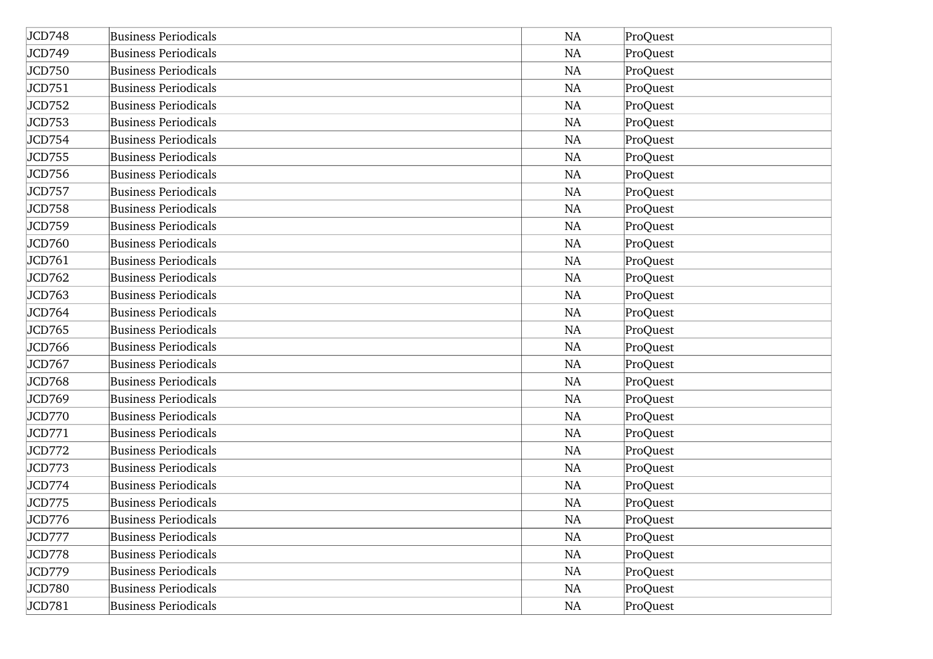| JCD748 | <b>Business Periodicals</b> | <b>NA</b> | ProQuest |
|--------|-----------------------------|-----------|----------|
| JCD749 | <b>Business Periodicals</b> | <b>NA</b> | ProQuest |
| JCD750 | <b>Business Periodicals</b> | NA        | ProQuest |
| JCD751 | <b>Business Periodicals</b> | NA        | ProQuest |
| JCD752 | Business Periodicals        | <b>NA</b> | ProQuest |
| JCD753 | <b>Business Periodicals</b> | NA        | ProQuest |
| JCD754 | <b>Business Periodicals</b> | <b>NA</b> | ProQuest |
| JCD755 | <b>Business Periodicals</b> | NA        | ProQuest |
| JCD756 | <b>Business Periodicals</b> | NA        | ProQuest |
| JCD757 | <b>Business Periodicals</b> | <b>NA</b> | ProQuest |
| JCD758 | <b>Business Periodicals</b> | NA        | ProQuest |
| JCD759 | <b>Business Periodicals</b> | <b>NA</b> | ProQuest |
| JCD760 | <b>Business Periodicals</b> | NA        | ProQuest |
| JCD761 | <b>Business Periodicals</b> | NA        | ProQuest |
| JCD762 | <b>Business Periodicals</b> | <b>NA</b> | ProQuest |
| JCD763 | <b>Business Periodicals</b> | NA        | ProQuest |
| JCD764 | <b>Business Periodicals</b> | NA        | ProQuest |
| JCD765 | <b>Business Periodicals</b> | NA        | ProQuest |
| JCD766 | <b>Business Periodicals</b> | <b>NA</b> | ProQuest |
| JCD767 | <b>Business Periodicals</b> | <b>NA</b> | ProQuest |
| JCD768 | <b>Business Periodicals</b> | NA        | ProQuest |
| JCD769 | <b>Business Periodicals</b> | NA        | ProQuest |
| JCD770 | <b>Business Periodicals</b> | NA        | ProQuest |
| JCD771 | <b>Business Periodicals</b> | <b>NA</b> | ProQuest |
| JCD772 | <b>Business Periodicals</b> | <b>NA</b> | ProQuest |
| JCD773 | <b>Business Periodicals</b> | <b>NA</b> | ProQuest |
| JCD774 | <b>Business Periodicals</b> | <b>NA</b> | ProQuest |
| JCD775 | <b>Business Periodicals</b> | NA        | ProQuest |
| JCD776 | <b>Business Periodicals</b> | NA        | ProQuest |
| JCD777 | <b>Business Periodicals</b> | <b>NA</b> | ProQuest |
| JCD778 | <b>Business Periodicals</b> | NA        | ProQuest |
| JCD779 | <b>Business Periodicals</b> | NA        | ProQuest |
| JCD780 | <b>Business Periodicals</b> | NA        | ProQuest |
| JCD781 | <b>Business Periodicals</b> | NA        | ProQuest |